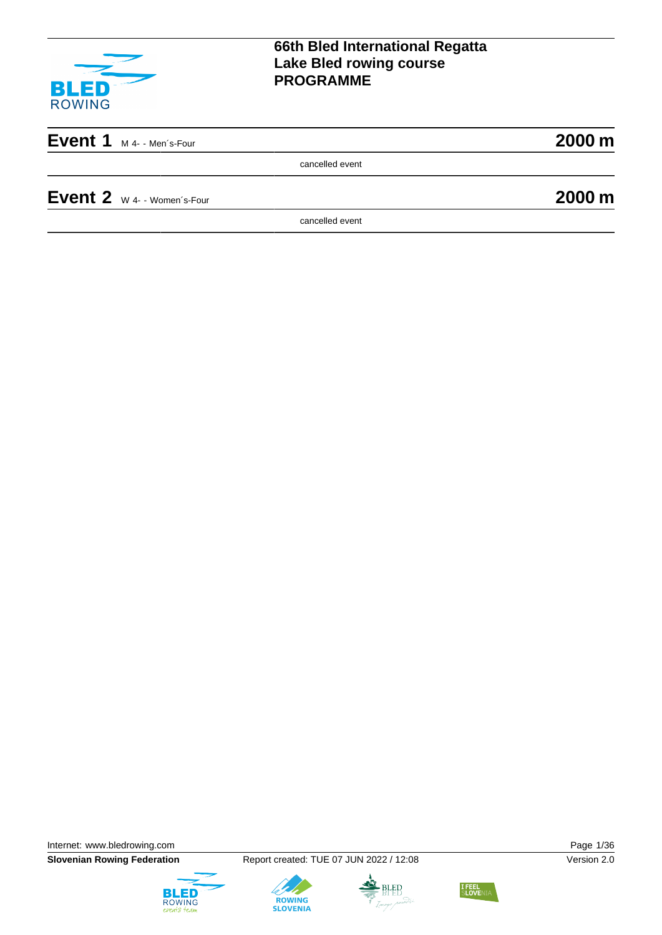

| Event $1_{M4-Men's-Four}$ |  | 2000 m |
|---------------------------|--|--------|
|                           |  |        |

cancelled event

**Event 2**  $\mathsf{w}$  4- - Women's-Four **2000 m** 

cancelled event

Internet: [www.bledrowing.com](http://www.bledrowing.com) **Page 1/36** 

**Slovenian Rowing Federation** Report created: TUE 07 JUN 2022 / 12:08 Version 2.0







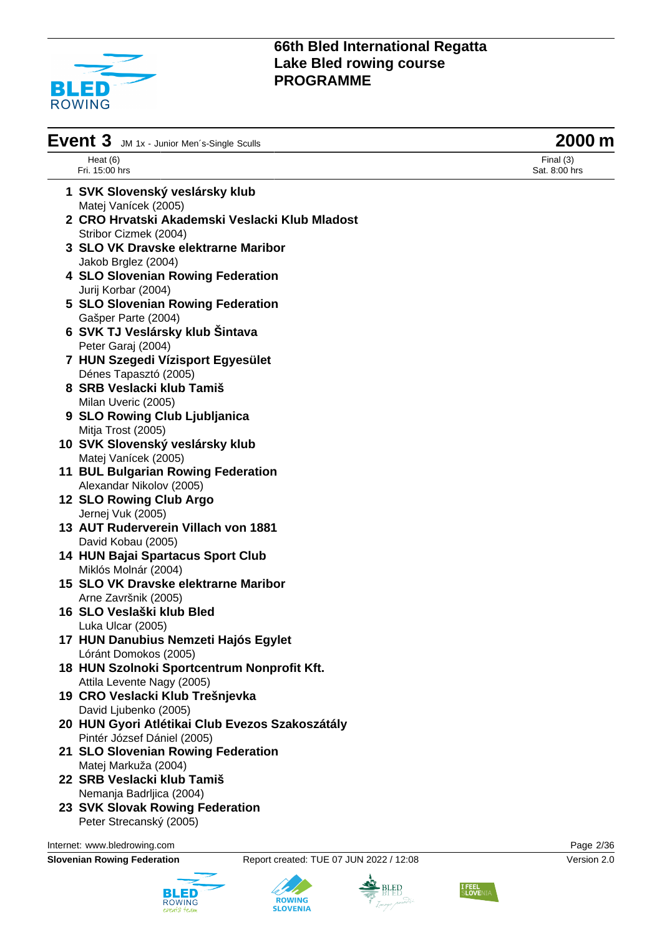

| Event 3<br>JM 1x - Junior Men's-Single Sculls   | 2000 m                       |
|-------------------------------------------------|------------------------------|
| Heat $(6)$<br>Fri. 15:00 hrs                    | Final $(3)$<br>Sat. 8:00 hrs |
| 1 SVK Slovenský veslársky klub                  |                              |
| Matej Vanícek (2005)                            |                              |
| 2 CRO Hrvatski Akademski Veslacki Klub Mladost  |                              |
| Stribor Cizmek (2004)                           |                              |
| <b>3 SLO VK Dravske elektrarne Maribor</b>      |                              |
| Jakob Brglez (2004)                             |                              |
| 4 SLO Slovenian Rowing Federation               |                              |
| Jurij Korbar (2004)                             |                              |
| 5 SLO Slovenian Rowing Federation               |                              |
| Gašper Parte (2004)                             |                              |
| 6 SVK TJ Veslársky klub Šintava                 |                              |
| Peter Garaj (2004)                              |                              |
| 7 HUN Szegedi Vízisport Egyesület               |                              |
| Dénes Tapasztó (2005)                           |                              |
| 8 SRB Veslacki klub Tamiš                       |                              |
| Milan Uveric (2005)                             |                              |
| 9 SLO Rowing Club Ljubljanica                   |                              |
| Mitja Trost (2005)                              |                              |
| 10 SVK Slovenský veslársky klub                 |                              |
| Matej Vanícek (2005)                            |                              |
| <b>11 BUL Bulgarian Rowing Federation</b>       |                              |
| Alexandar Nikolov (2005)                        |                              |
| 12 SLO Rowing Club Argo                         |                              |
| Jernej Vuk (2005)                               |                              |
| 13 AUT Ruderverein Villach von 1881             |                              |
| David Kobau (2005)                              |                              |
| 14 HUN Bajai Spartacus Sport Club               |                              |
| Miklós Molnár (2004)                            |                              |
| 15 SLO VK Dravske elektrarne Maribor            |                              |
| Arne Završnik (2005)                            |                              |
|                                                 |                              |
| 16 SLO Veslaški klub Bled                       |                              |
| Luka Ulcar (2005)                               |                              |
| 17 HUN Danubius Nemzeti Hajós Egylet            |                              |
| Lóránt Domokos (2005)                           |                              |
| 18 HUN Szolnoki Sportcentrum Nonprofit Kft.     |                              |
| Attila Levente Nagy (2005)                      |                              |
| 19 CRO Veslacki Klub Trešnjevka                 |                              |
| David Ljubenko (2005)                           |                              |
| 20 HUN Gyori Atlétikai Club Evezos Szakoszátály |                              |
| Pintér József Dániel (2005)                     |                              |
| 21 SLO Slovenian Rowing Federation              |                              |
| Matej Markuža (2004)                            |                              |
| 22 SRB Veslacki klub Tamiš                      |                              |
| Nemanja Badrljica (2004)                        |                              |
| 23 SVK Slovak Rowing Federation                 |                              |

Peter Strecanský (2005)

Internet: [www.bledrowing.com](http://www.bledrowing.com) **Page 2/36** 



**ROWING**<br>SLOVENIA



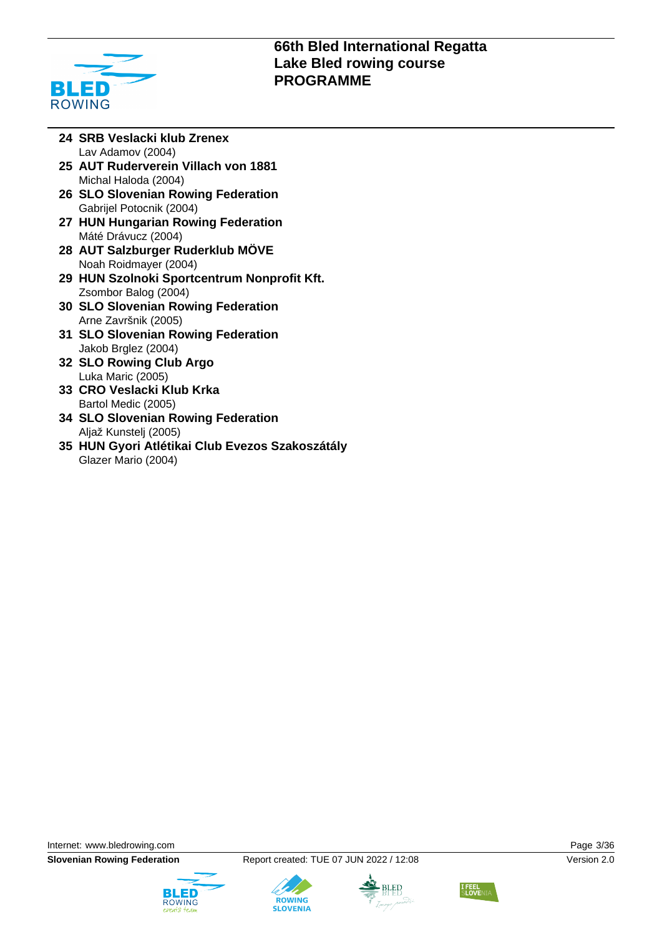

- **24 SRB Veslacki klub Zrenex** Lav Adamov (2004)
- **25 AUT Ruderverein Villach von 1881** Michal Haloda (2004)
- **26 SLO Slovenian Rowing Federation** Gabrijel Potocnik (2004)
- **27 HUN Hungarian Rowing Federation** Máté Drávucz (2004)
- **28 AUT Salzburger Ruderklub MÖVE** Noah Roidmayer (2004)
- **29 HUN Szolnoki Sportcentrum Nonprofit Kft.** Zsombor Balog (2004)
- **30 SLO Slovenian Rowing Federation** Arne Završnik (2005)
- **31 SLO Slovenian Rowing Federation** Jakob Brglez (2004)
- **32 SLO Rowing Club Argo** Luka Maric (2005)
- **33 CRO Veslacki Klub Krka** Bartol Medic (2005)
- **34 SLO Slovenian Rowing Federation** Aljaž Kunstelj (2005)
- **35 HUN Gyori Atlétikai Club Evezos Szakoszátály** Glazer Mario (2004)

Internet: [www.bledrowing.com](http://www.bledrowing.com) Page 3/36







**ROWING** 



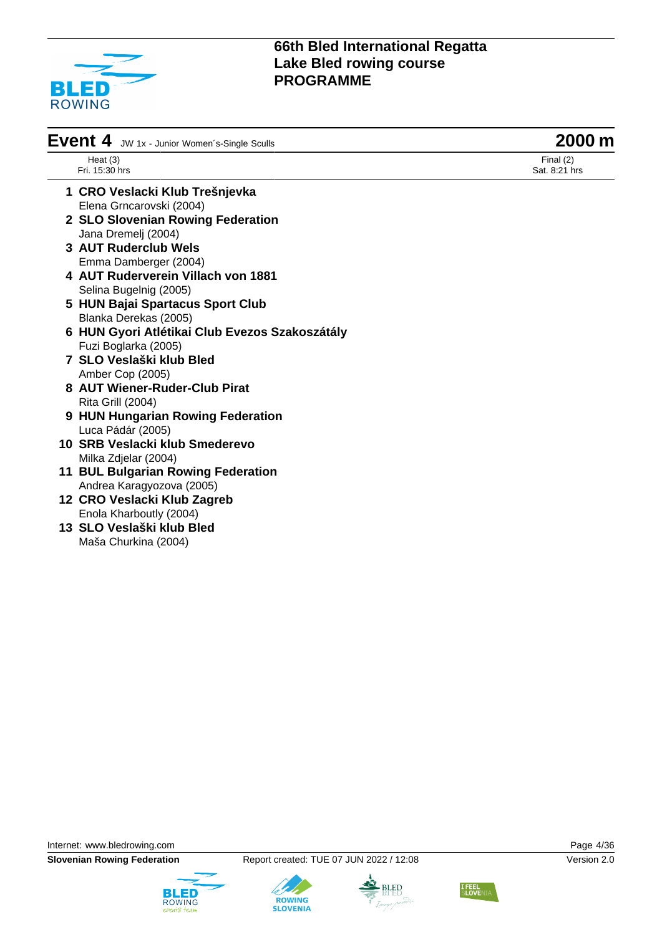

| Event 4<br>JW 1x - Junior Women's-Single Sculls | 2000 m                       |
|-------------------------------------------------|------------------------------|
| Heat $(3)$<br>Fri. 15:30 hrs                    | Final $(2)$<br>Sat. 8:21 hrs |
| 1 CRO Veslacki Klub Trešnjevka                  |                              |
| Elena Grncarovski (2004)                        |                              |
| 2 SLO Slovenian Rowing Federation               |                              |
| Jana Dremelj (2004)                             |                              |
| 3 AUT Ruderclub Wels                            |                              |
| Emma Damberger (2004)                           |                              |
| 4 AUT Ruderverein Villach von 1881              |                              |
| Selina Bugelnig (2005)                          |                              |
| 5 HUN Bajai Spartacus Sport Club                |                              |
| Blanka Derekas (2005)                           |                              |
| 6 HUN Gyori Atlétikai Club Evezos Szakoszátály  |                              |
| Fuzi Boglarka (2005)                            |                              |
| 7 SLO Veslaški klub Bled                        |                              |
| Amber Cop (2005)                                |                              |
| 8 AUT Wiener-Ruder-Club Pirat                   |                              |
| Rita Grill (2004)                               |                              |
| 9 HUN Hungarian Rowing Federation               |                              |
| Luca Pádár (2005)                               |                              |
| 10 SRB Veslacki klub Smederevo                  |                              |
| Milka Zdjelar (2004)                            |                              |
| <b>11 BUL Bulgarian Rowing Federation</b>       |                              |
| Andrea Karagyozova (2005)                       |                              |
| 12 CRO Veslacki Klub Zagreb                     |                              |
| Enola Kharboutly (2004)                         |                              |

**13 SLO Veslaški klub Bled** Maša Churkina (2004)

Internet: [www.bledrowing.com](http://www.bledrowing.com) **Page 4/36** 







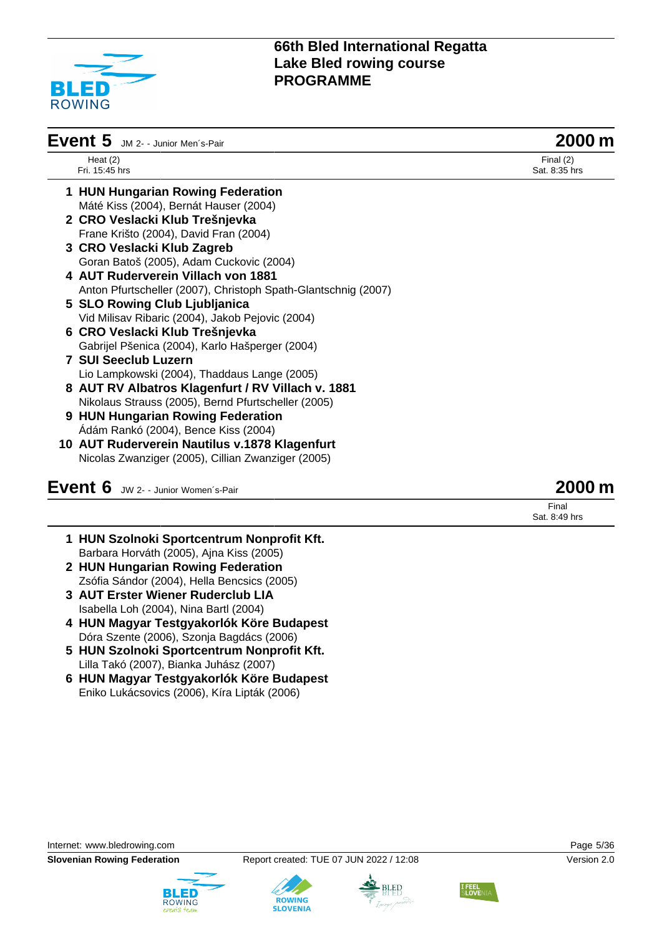

| Event 5 JM 2- - Junior Men's-Pair |                                                                | 2000                         |  |
|-----------------------------------|----------------------------------------------------------------|------------------------------|--|
|                                   | Heat $(2)$<br>Fri. 15:45 hrs                                   | Final $(2)$<br>Sat. 8:35 hrs |  |
|                                   | 1 HUN Hungarian Rowing Federation                              |                              |  |
|                                   | Máté Kiss (2004), Bernát Hauser (2004)                         |                              |  |
|                                   | 2 CRO Veslacki Klub Trešnjevka                                 |                              |  |
|                                   | Frane Krišto (2004), David Fran (2004)                         |                              |  |
|                                   | 3 CRO Veslacki Klub Zagreb                                     |                              |  |
|                                   | Goran Batoš (2005), Adam Cuckovic (2004)                       |                              |  |
|                                   | 4 AUT Ruderverein Villach von 1881                             |                              |  |
|                                   | Anton Pfurtscheller (2007), Christoph Spath-Glantschnig (2007) |                              |  |
|                                   | 5 SLO Rowing Club Ljubljanica                                  |                              |  |
|                                   | Vid Milisav Ribaric (2004), Jakob Pejovic (2004)               |                              |  |
|                                   | 6 CRO Veslacki Klub Trešnjevka                                 |                              |  |
|                                   | Gabrijel Pšenica (2004), Karlo Hašperger (2004)                |                              |  |
|                                   | <b>7 SUI Seeclub Luzern</b>                                    |                              |  |
|                                   | Lio Lampkowski (2004), Thaddaus Lange (2005)                   |                              |  |
|                                   | 8 AUT RV Albatros Klagenfurt / RV Villach v. 1881              |                              |  |
|                                   | Nikolaus Strauss (2005), Bernd Pfurtscheller (2005)            |                              |  |
|                                   | 9 HUN Hungarian Rowing Federation                              |                              |  |
|                                   | Ádám Rankó (2004), Bence Kiss (2004)                           |                              |  |
|                                   | 10 AUT Ruderverein Nautilus v.1878 Klagenfurt                  |                              |  |
|                                   | Nicolas Zwanziger (2005), Cillian Zwanziger (2005)             |                              |  |
|                                   | Event 6 JW 2- - Junior Women's-Pair                            | 200                          |  |

## **1 HUN Szolnoki Sportcentrum Nonprofit Kft.** Barbara Horváth (2005), Ajna Kiss (2005) **2 HUN Hungarian Rowing Federation**

- Zsófia Sándor (2004), Hella Bencsics (2005) **3 AUT Erster Wiener Ruderclub LIA**
- Isabella Loh (2004), Nina Bartl (2004)
- **4 HUN Magyar Testgyakorlók Köre Budapest** Dóra Szente (2006), Szonja Bagdács (2006)
- **5 HUN Szolnoki Sportcentrum Nonprofit Kft.** Lilla Takó (2007), Bianka Juhász (2007)
- **6 HUN Magyar Testgyakorlók Köre Budapest** Eniko Lukácsovics (2006), Kíra Lipták (2006)









Final Sat. 8:49 hrs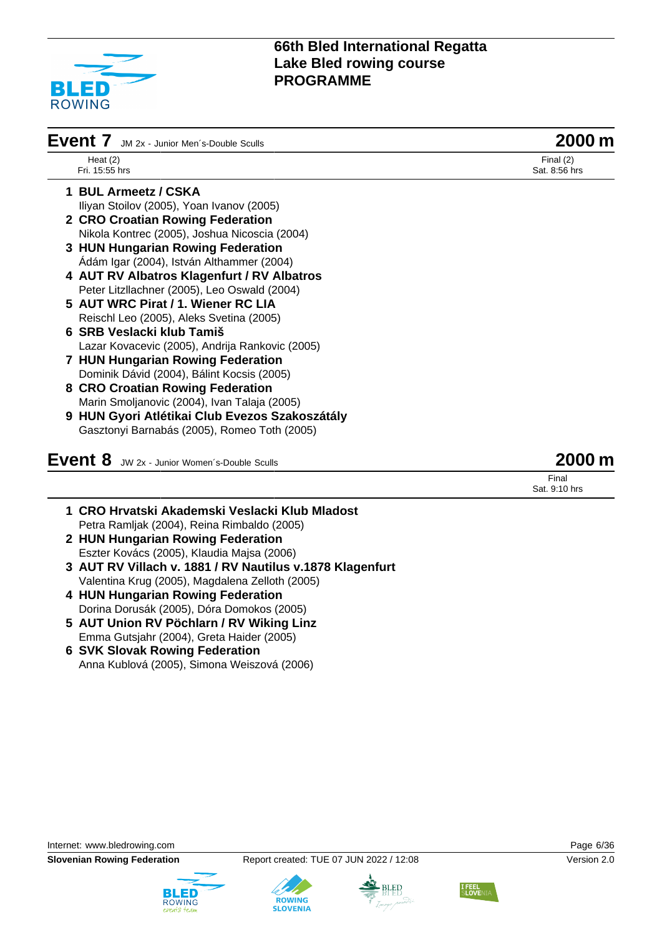

| Event 7<br>JM 2x - Junior Men's-Double Sculls   | 2000 m                       |
|-------------------------------------------------|------------------------------|
| Heat $(2)$<br>Fri. 15:55 hrs                    | Final $(2)$<br>Sat. 8:56 hrs |
| 1 BUL Armeetz / CSKA                            |                              |
| Iliyan Stoilov (2005), Yoan Ivanov (2005)       |                              |
| 2 CRO Croatian Rowing Federation                |                              |
| Nikola Kontrec (2005), Joshua Nicoscia (2004)   |                              |
| 3 HUN Hungarian Rowing Federation               |                              |
| Ádám Igar (2004), István Althammer (2004)       |                              |
| 4 AUT RV Albatros Klagenfurt / RV Albatros      |                              |
| Peter Litzllachner (2005), Leo Oswald (2004)    |                              |
| 5 AUT WRC Pirat / 1. Wiener RC LIA              |                              |
| Reischl Leo (2005), Aleks Svetina (2005)        |                              |
| 6 SRB Veslacki klub Tamiš                       |                              |
| Lazar Kovacevic (2005), Andrija Rankovic (2005) |                              |
| 7 HUN Hungarian Rowing Federation               |                              |
| Dominik Dávid (2004), Bálint Kocsis (2005)      |                              |
| 8 CRO Croatian Rowing Federation                |                              |
| Marin Smoljanovic (2004), Ivan Talaja (2005)    |                              |
| 9 HUN Gyori Atlétikai Club Evezos Szakoszátály  |                              |
| Gasztonyi Barnabás (2005), Romeo Toth (2005)    |                              |
| Event 8<br>JW 2x - Junior Women's-Double Sculls | 2000 m                       |
|                                                 | Final<br>Sat. 9:10 hrs       |

- **1 CRO Hrvatski Akademski Veslacki Klub Mladost** Petra Ramljak (2004), Reina Rimbaldo (2005)
- **2 HUN Hungarian Rowing Federation** Eszter Kovács (2005), Klaudia Majsa (2006)
- **3 AUT RV Villach v. 1881 / RV Nautilus v.1878 Klagenfurt** Valentina Krug (2005), Magdalena Zelloth (2005)
- **4 HUN Hungarian Rowing Federation** Dorina Dorusák (2005), Dóra Domokos (2005)
- **5 AUT Union RV Pöchlarn / RV Wiking Linz** Emma Gutsjahr (2004), Greta Haider (2005)
- **6 SVK Slovak Rowing Federation** Anna Kublová (2005), Simona Weiszová (2006)







**ROWING** 



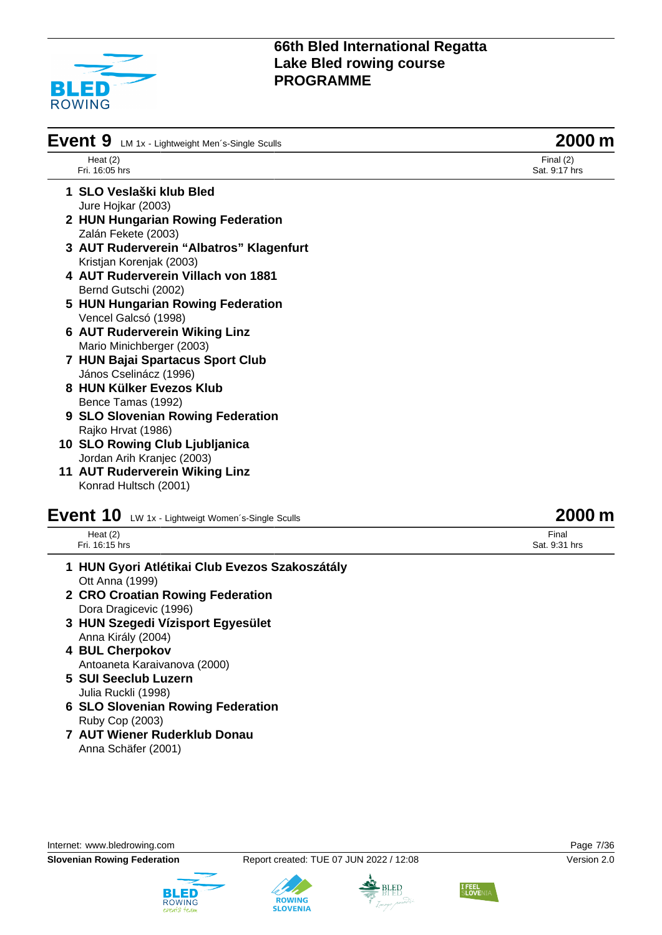

| Event 9 LM 1x - Lightweight Men's-Single Sculls | 2000 m                       |
|-------------------------------------------------|------------------------------|
| Heat $(2)$<br>Fri. 16:05 hrs                    | Final $(2)$<br>Sat. 9:17 hrs |
| 1 SLO Veslaški klub Bled                        |                              |
| Jure Hojkar (2003)                              |                              |
| 2 HUN Hungarian Rowing Federation               |                              |
| Zalán Fekete (2003)                             |                              |
| 3 AUT Ruderverein "Albatros" Klagenfurt         |                              |
| Kristjan Korenjak (2003)                        |                              |
| 4 AUT Ruderverein Villach von 1881              |                              |
| Bernd Gutschi (2002)                            |                              |
| 5 HUN Hungarian Rowing Federation               |                              |
| Vencel Galcsó (1998)                            |                              |
| 6 AUT Ruderverein Wiking Linz                   |                              |
| Mario Minichberger (2003)                       |                              |
| 7 HUN Bajai Spartacus Sport Club                |                              |
| János Cselinácz (1996)                          |                              |
| 8 HUN Külker Evezos Klub                        |                              |
| Bence Tamas (1992)                              |                              |
| 9 SLO Slovenian Rowing Federation               |                              |
| Rajko Hrvat (1986)                              |                              |
| 10 SLO Rowing Club Ljubljanica                  |                              |
| Jordan Arih Kranjec (2003)                      |                              |
| <b>11 AUT Ruderverein Wiking Linz</b>           |                              |
| Konrad Hultsch (2001)                           |                              |

# **Event 10** LW 1x - Lightweigt Women's-Single Sculls **2000 m**

| Heat $(2)$ |                |  |
|------------|----------------|--|
|            | Fri. 16:15 hrs |  |

- **1 HUN Gyori Atlétikai Club Evezos Szakoszátály** Ott Anna (1999)
- **2 CRO Croatian Rowing Federation** Dora Dragicevic (1996)
- **3 HUN Szegedi Vízisport Egyesület** Anna Király (2004)
- **4 BUL Cherpokov** Antoaneta Karaivanova (2000)
- **5 SUI Seeclub Luzern** Julia Ruckli (1998)
- **6 SLO Slovenian Rowing Federation** Ruby Cop (2003)
- **7 AUT Wiener Ruderklub Donau** Anna Schäfer (2001)





**ROWING** 

**SLOVENIA** 





# Final

Sat. 9:31 hrs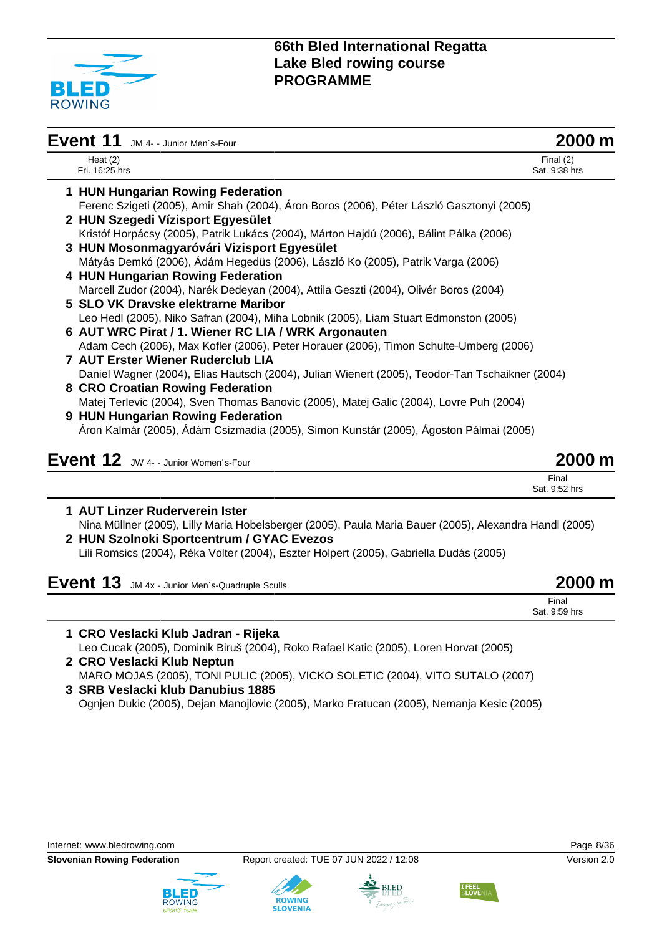

| Event 11<br>JM 4- - Junior Men's-Four                                                           | 2000 m                       |
|-------------------------------------------------------------------------------------------------|------------------------------|
| Heat $(2)$<br>Fri. 16:25 hrs                                                                    | Final $(2)$<br>Sat. 9:38 hrs |
| 1 HUN Hungarian Rowing Federation                                                               |                              |
| Ferenc Szigeti (2005), Amir Shah (2004), Áron Boros (2006), Péter László Gasztonyi (2005)       |                              |
| 2 HUN Szegedi Vízisport Egyesület                                                               |                              |
| Kristóf Horpácsy (2005), Patrik Lukács (2004), Márton Hajdú (2006), Bálint Pálka (2006)         |                              |
| 3 HUN Mosonmagyaróvári Vizisport Egyesület                                                      |                              |
| Mátyás Demkó (2006), Ádám Hegedüs (2006), László Ko (2005), Patrik Varga (2006)                 |                              |
| 4 HUN Hungarian Rowing Federation                                                               |                              |
| Marcell Zudor (2004), Narék Dedeyan (2004), Attila Geszti (2004), Olivér Boros (2004)           |                              |
| 5 SLO VK Dravske elektrarne Maribor                                                             |                              |
| Leo Hedl (2005), Niko Safran (2004), Miha Lobnik (2005), Liam Stuart Edmonston (2005)           |                              |
| 6 AUT WRC Pirat / 1. Wiener RC LIA / WRK Argonauten                                             |                              |
| Adam Cech (2006), Max Kofler (2006), Peter Horauer (2006), Timon Schulte-Umberg (2006)          |                              |
| <b>7 AUT Erster Wiener Ruderclub LIA</b>                                                        |                              |
| Daniel Wagner (2004), Elias Hautsch (2004), Julian Wienert (2005), Teodor-Tan Tschaikner (2004) |                              |
| 8 CRO Croatian Rowing Federation                                                                |                              |
| Matej Terlevic (2004), Sven Thomas Banovic (2005), Matej Galic (2004), Lovre Puh (2004)         |                              |
| 9 HUN Hungarian Rowing Federation                                                               |                              |
| Áron Kalmár (2005), Ádám Csizmadia (2005), Simon Kunstár (2005), Ágoston Pálmai (2005)          |                              |
| Event 12 JW 4- - Junior Women's-Four                                                            | 2000 m                       |
|                                                                                                 | Final<br>Sat. 9:52 hrs       |
| 1 AUT Linzer Ruderverein Ister                                                                  |                              |

Nina Müllner (2005), Lilly Maria Hobelsberger (2005), Paula Maria Bauer (2005), Alexandra Handl (2005) **2 HUN Szolnoki Sportcentrum / GYAC Evezos**

Lili Romsics (2004), Réka Volter (2004), Eszter Holpert (2005), Gabriella Dudás (2005)

| Event 13 JM 4x - Junior Men's-Quadruple Sculls | 2000 m                 |
|------------------------------------------------|------------------------|
|                                                | Final<br>Sat. 9:59 hrs |

**1 CRO Veslacki Klub Jadran - Rijeka** Leo Cucak (2005), Dominik Biruš (2004), Roko Rafael Katic (2005), Loren Horvat (2005) **2 CRO Veslacki Klub Neptun**

MARO MOJAS (2005), TONI PULIC (2005), VICKO SOLETIC (2004), VITO SUTALO (2007)

**3 SRB Veslacki klub Danubius 1885** Ognjen Dukic (2005), Dejan Manojlovic (2005), Marko Fratucan (2005), Nemanja Kesic (2005)





**ROWING** 



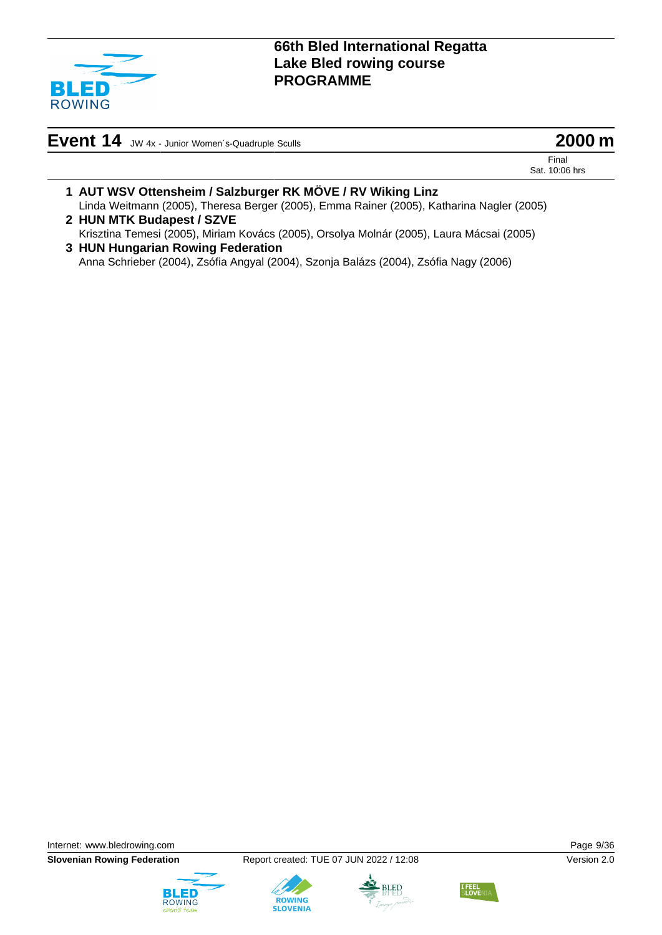

**Event 14** JW 4x - Junior Women´s-Quadruple Sculls **2000 m**

Final Sat. 10:06 hrs

- **1 AUT WSV Ottensheim / Salzburger RK MÖVE / RV Wiking Linz** Linda Weitmann (2005), Theresa Berger (2005), Emma Rainer (2005), Katharina Nagler (2005)
- **2 HUN MTK Budapest / SZVE** Krisztina Temesi (2005), Miriam Kovács (2005), Orsolya Molnár (2005), Laura Mácsai (2005)
- **3 HUN Hungarian Rowing Federation** Anna Schrieber (2004), Zsófia Angyal (2004), Szonja Balázs (2004), Zsófia Nagy (2006)

Internet: [www.bledrowing.com](http://www.bledrowing.com) Page 9/36

**Slovenian Rowing Federation** Report created: TUE 07 JUN 2022 / 12:08 Version 2.0







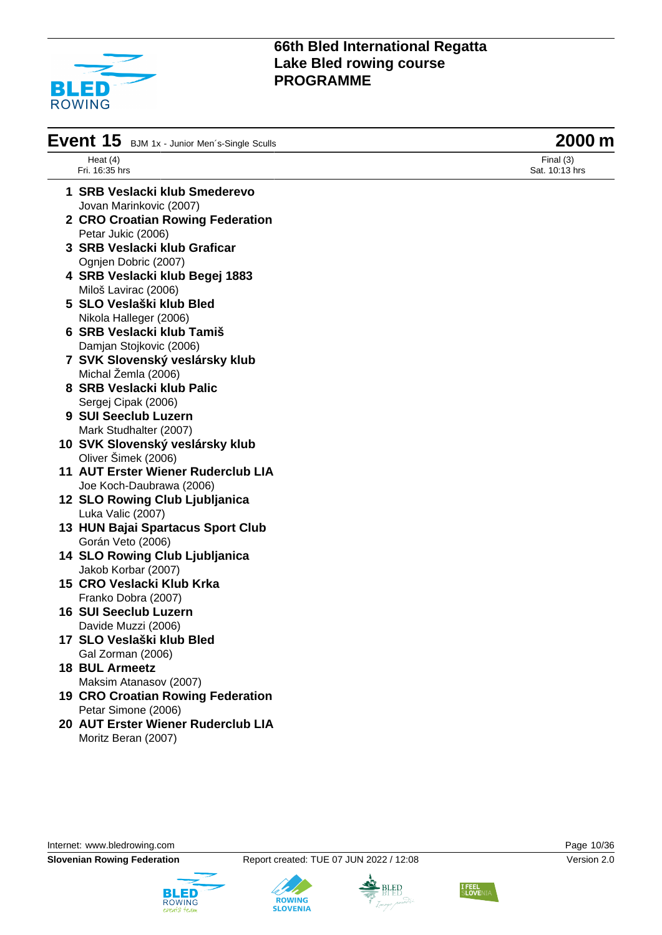

| Event 15 BJM 1x - Junior Men's-Single Sculls | 2000 m                      |
|----------------------------------------------|-----------------------------|
| Heat $(4)$<br>Fri. 16:35 hrs                 | Final (3)<br>Sat. 10:13 hrs |
|                                              |                             |
| 1 SRB Veslacki klub Smederevo                |                             |
| Jovan Marinkovic (2007)                      |                             |
| 2 CRO Croatian Rowing Federation             |                             |
| Petar Jukic (2006)                           |                             |
| 3 SRB Veslacki klub Graficar                 |                             |
| Ognjen Dobric (2007)                         |                             |
| 4 SRB Veslacki klub Begej 1883               |                             |
| Miloš Lavirac (2006)                         |                             |
| 5 SLO Veslaški klub Bled                     |                             |
| Nikola Halleger (2006)                       |                             |
| 6 SRB Veslacki klub Tamiš                    |                             |
| Damjan Stojkovic (2006)                      |                             |
| 7 SVK Slovenský veslársky klub               |                             |
| Michal Žemla (2006)                          |                             |
| 8 SRB Veslacki klub Palic                    |                             |
| Sergej Cipak (2006)                          |                             |
| 9 SUI Seeclub Luzern                         |                             |
| Mark Studhalter (2007)                       |                             |
| 10 SVK Slovenský veslársky klub              |                             |
| Oliver Šimek (2006)                          |                             |
| 11 AUT Erster Wiener Ruderclub LIA           |                             |
| Joe Koch-Daubrawa (2006)                     |                             |
| 12 SLO Rowing Club Ljubljanica               |                             |
| Luka Valic (2007)                            |                             |
| 13 HUN Bajai Spartacus Sport Club            |                             |
| Gorán Veto (2006)                            |                             |
| 14 SLO Rowing Club Ljubljanica               |                             |
| Jakob Korbar (2007)                          |                             |
| 15 CRO Veslacki Klub Krka                    |                             |
| Franko Dobra (2007)                          |                             |
| <b>16 SUI Seeclub Luzern</b>                 |                             |
| Davide Muzzi (2006)                          |                             |
| 17 SLO Veslaški klub Bled                    |                             |
| Gal Zorman (2006)                            |                             |
| <b>18 BUL Armeetz</b>                        |                             |
| Maksim Atanasov (2007)                       |                             |
| <b>19 CRO Croatian Rowing Federation</b>     |                             |
| Petar Simone (2006)                          |                             |
| 20 AUT Erster Wiener Ruderclub LIA           |                             |
| Moritz Beran (2007)                          |                             |
|                                              |                             |

Internet: [www.bledrowing.com](http://www.bledrowing.com) **Page 10/36** 





**ROWING**<br>SLOVENIA



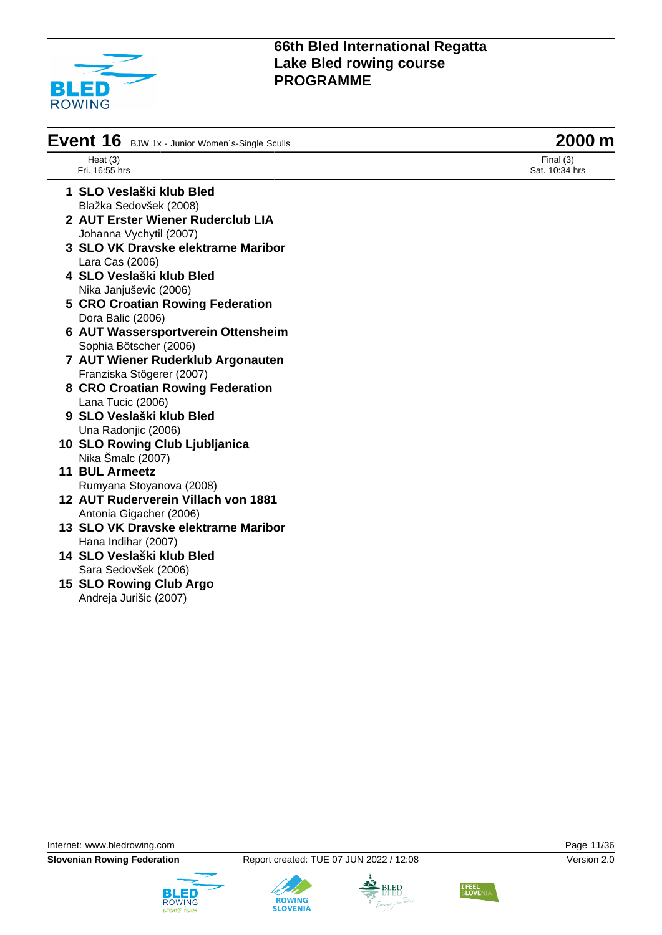

| Event 16<br>BJW 1x - Junior Women's-Single Sculls | 2000 m                      |
|---------------------------------------------------|-----------------------------|
| Heat $(3)$<br>Fri. 16:55 hrs                      | Final (3)<br>Sat. 10:34 hrs |
| 1 SLO Veslaški klub Bled                          |                             |
| Blažka Sedovšek (2008)                            |                             |
| 2 AUT Erster Wiener Ruderclub LIA                 |                             |
| Johanna Vychytil (2007)                           |                             |
| 3 SLO VK Dravske elektrarne Maribor               |                             |
| Lara Cas (2006)                                   |                             |
| 4 SLO Veslaški klub Bled                          |                             |
| Nika Janjuševic (2006)                            |                             |
| <b>5 CRO Croatian Rowing Federation</b>           |                             |
| Dora Balic (2006)                                 |                             |
| 6 AUT Wassersportverein Ottensheim                |                             |
| Sophia Bötscher (2006)                            |                             |
| 7 AUT Wiener Ruderklub Argonauten                 |                             |
| Franziska Stögerer (2007)                         |                             |
| 8 CRO Croatian Rowing Federation                  |                             |
| Lana Tucic (2006)                                 |                             |
| 9 SLO Veslaški klub Bled                          |                             |
| Una Radonjic (2006)                               |                             |
| 10 SLO Rowing Club Ljubljanica                    |                             |
| Nika Šmalc (2007)                                 |                             |
| <b>11 BUL Armeetz</b>                             |                             |
| Rumyana Stoyanova (2008)                          |                             |
| 12 AUT Ruderverein Villach von 1881               |                             |
| Antonia Gigacher (2006)                           |                             |
| 13 SLO VK Dravske elektrarne Maribor              |                             |
| Hana Indihar (2007)                               |                             |
| 14 SLO Veslaški klub Bled                         |                             |
| Sara Sedovšek (2006)                              |                             |
| 15 SLO Rowing Club Argo                           |                             |
| Andreja Jurišic (2007)                            |                             |





**ROWING**<br>SLOVENIA



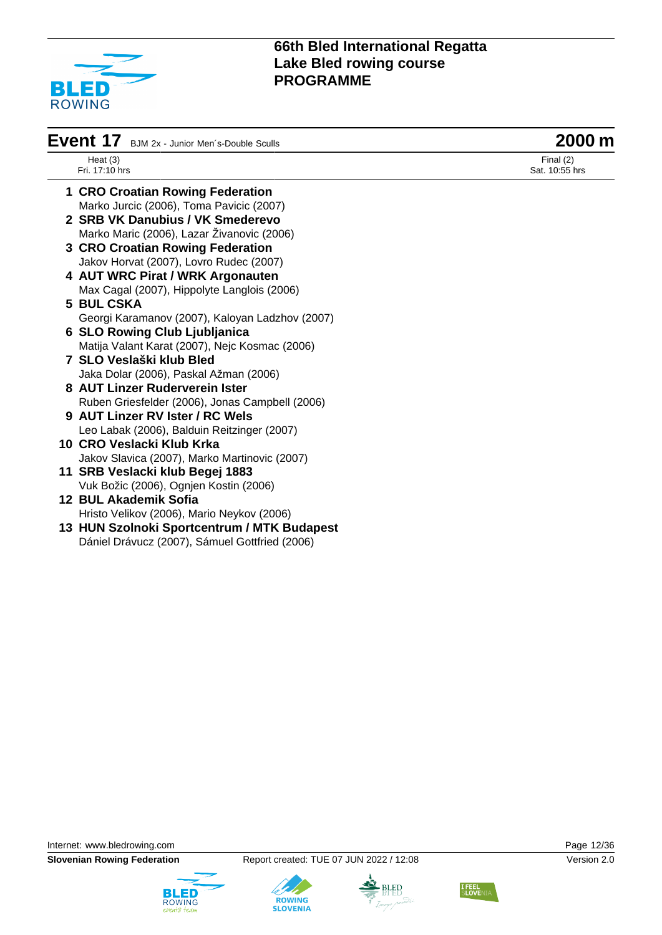

| Event 17 BJM 2x - Junior Men's-Double Sculls | 2000 m |
|----------------------------------------------|--------|
|----------------------------------------------|--------|

| Heat $(3)$     |  |
|----------------|--|
| Fri. 17:10 hrs |  |

Final (2) Sat. 10:55 hrs

- **1 CRO Croatian Rowing Federation** Marko Jurcic (2006), Toma Pavicic (2007)
- **2 SRB VK Danubius / VK Smederevo** Marko Maric (2006), Lazar Živanovic (2006)
- **3 CRO Croatian Rowing Federation** Jakov Horvat (2007), Lovro Rudec (2007)
- **4 AUT WRC Pirat / WRK Argonauten** Max Cagal (2007), Hippolyte Langlois (2006)
- **5 BUL CSKA** Georgi Karamanov (2007), Kaloyan Ladzhov (2007)
- **6 SLO Rowing Club Ljubljanica** Matija Valant Karat (2007), Nejc Kosmac (2006)
- **7 SLO Veslaški klub Bled** Jaka Dolar (2006), Paskal Ažman (2006)
- **8 AUT Linzer Ruderverein Ister** Ruben Griesfelder (2006), Jonas Campbell (2006)
- **9 AUT Linzer RV Ister / RC Wels** Leo Labak (2006), Balduin Reitzinger (2007)
- **10 CRO Veslacki Klub Krka** Jakov Slavica (2007), Marko Martinovic (2007)
- **11 SRB Veslacki klub Begej 1883** Vuk Božic (2006), Ognjen Kostin (2006)
- **12 BUL Akademik Sofia** Hristo Velikov (2006), Mario Neykov (2006)
- **13 HUN Szolnoki Sportcentrum / MTK Budapest** Dániel Drávucz (2007), Sámuel Gottfried (2006)

Internet: [www.bledrowing.com](http://www.bledrowing.com) Page 12/36











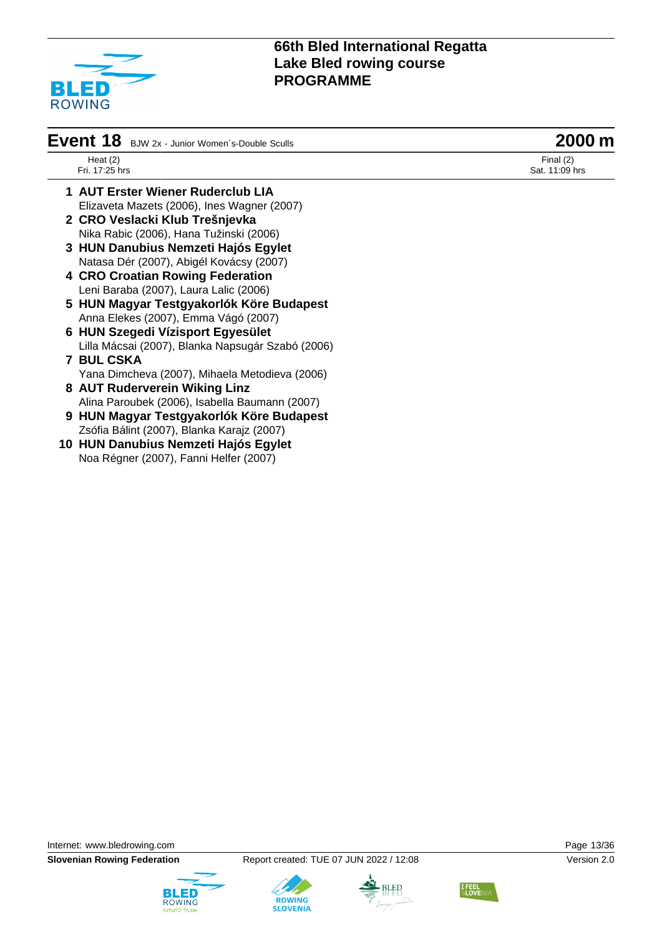

| Event 18 BJW 2x - Junior Women's-Double Sculls | 2000 m |
|------------------------------------------------|--------|
|------------------------------------------------|--------|

Heat (2) Fri. 17:25 hrs

Final (2) Sat. 11:09 hrs

- **1 AUT Erster Wiener Ruderclub LIA** Elizaveta Mazets (2006), Ines Wagner (2007)
- **2 CRO Veslacki Klub Trešnjevka** Nika Rabic (2006), Hana Tužinski (2006)
- **3 HUN Danubius Nemzeti Hajós Egylet** Natasa Dér (2007), Abigél Kovácsy (2007)
- **4 CRO Croatian Rowing Federation** Leni Baraba (2007), Laura Lalic (2006)
- **5 HUN Magyar Testgyakorlók Köre Budapest** Anna Elekes (2007), Emma Vágó (2007)
- **6 HUN Szegedi Vízisport Egyesület** Lilla Mácsai (2007), Blanka Napsugár Szabó (2006)
- **7 BUL CSKA** Yana Dimcheva (2007), Mihaela Metodieva (2006)
- **8 AUT Ruderverein Wiking Linz** Alina Paroubek (2006), Isabella Baumann (2007)
- **9 HUN Magyar Testgyakorlók Köre Budapest** Zsófia Bálint (2007), Blanka Karajz (2007)
- **10 HUN Danubius Nemzeti Hajós Egylet** Noa Régner (2007), Fanni Helfer (2007)

Internet: [www.bledrowing.com](http://www.bledrowing.com) **Page 13/36** 





**ROWING** 



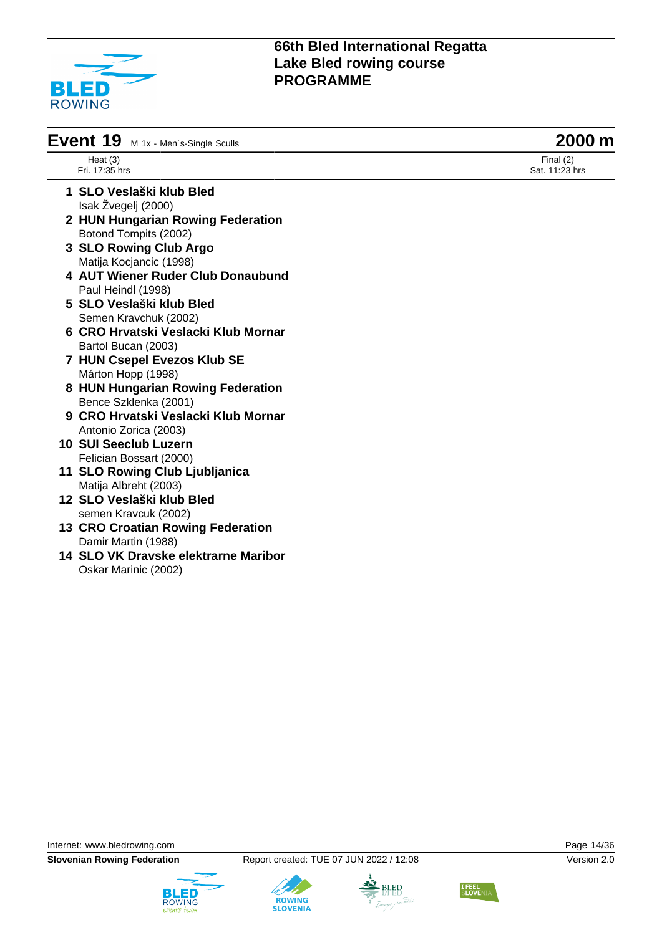

| Event 19 M 1x - Men's-Single Sculls | 2000 m |
|-------------------------------------|--------|
|                                     |        |

Heat (3) Fri. 17:35 hrs

- **1 SLO Veslaški klub Bled** Isak Žvegelj (2000)
- **2 HUN Hungarian Rowing Federation** Botond Tompits (2002)
- **3 SLO Rowing Club Argo** Matija Kocjancic (1998)
- **4 AUT Wiener Ruder Club Donaubund** Paul Heindl (1998)
- **5 SLO Veslaški klub Bled** Semen Kravchuk (2002)
- **6 CRO Hrvatski Veslacki Klub Mornar** Bartol Bucan (2003)
- **7 HUN Csepel Evezos Klub SE** Márton Hopp (1998)
- **8 HUN Hungarian Rowing Federation** Bence Szklenka (2001)
- **9 CRO Hrvatski Veslacki Klub Mornar** Antonio Zorica (2003)
- **10 SUI Seeclub Luzern** Felician Bossart (2000)
- **11 SLO Rowing Club Ljubljanica** Matija Albreht (2003)
- **12 SLO Veslaški klub Bled** semen Kravcuk (2002)
- **13 CRO Croatian Rowing Federation** Damir Martin (1988)
- **14 SLO VK Dravske elektrarne Maribor** Oskar Marinic (2002)

Internet: [www.bledrowing.com](http://www.bledrowing.com) **Page 14/36** 











Final (2) Sat. 11:23 hrs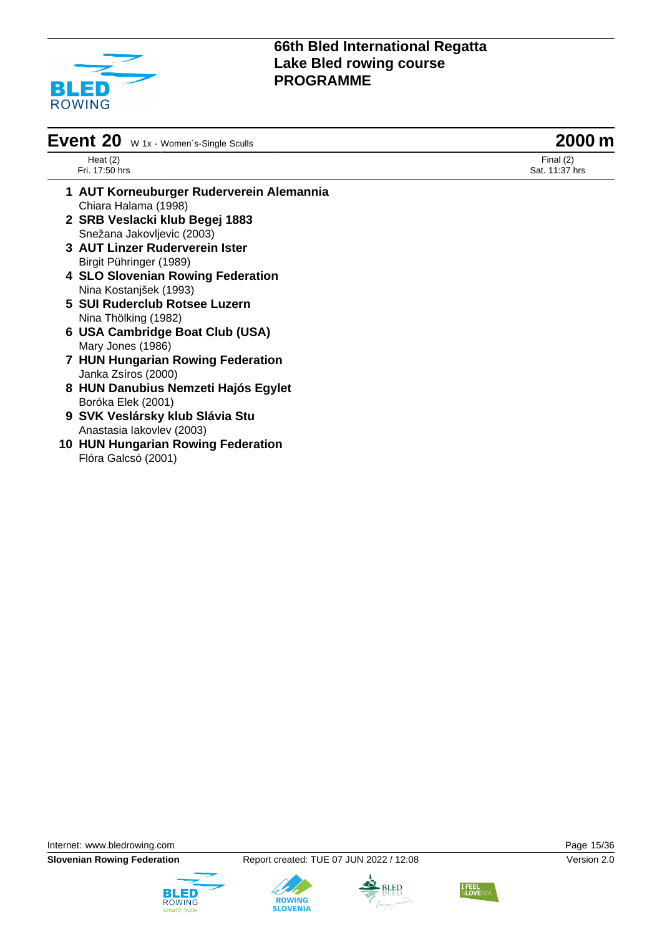

| <b>Event 20</b> $w_1x$ - Women's-Single Sculls | 2000 m |
|------------------------------------------------|--------|
|------------------------------------------------|--------|

Heat (2) Fri. 17:50 hrs

Final (2) Sat. 11:37 hrs

- **1 AUT Korneuburger Ruderverein Alemannia** Chiara Halama (1998) **2 SRB Veslacki klub Begej 1883**
	- Snežana Jakovljevic (2003)
- **3 AUT Linzer Ruderverein Ister** Birgit Pühringer (1989)
- **4 SLO Slovenian Rowing Federation** Nina Kostanjšek (1993)
- **5 SUI Ruderclub Rotsee Luzern** Nina Thölking (1982)
- **6 USA Cambridge Boat Club (USA)** Mary Jones (1986)
- **7 HUN Hungarian Rowing Federation** Janka Zsíros (2000)
- **8 HUN Danubius Nemzeti Hajós Egylet** Boróka Elek (2001)
- **9 SVK Veslársky klub Slávia Stu** Anastasia Iakovlev (2003)
- **10 HUN Hungarian Rowing Federation** Flóra Galcsó (2001)

Internet: [www.bledrowing.com](http://www.bledrowing.com) Page 15/36





**ROWING** 



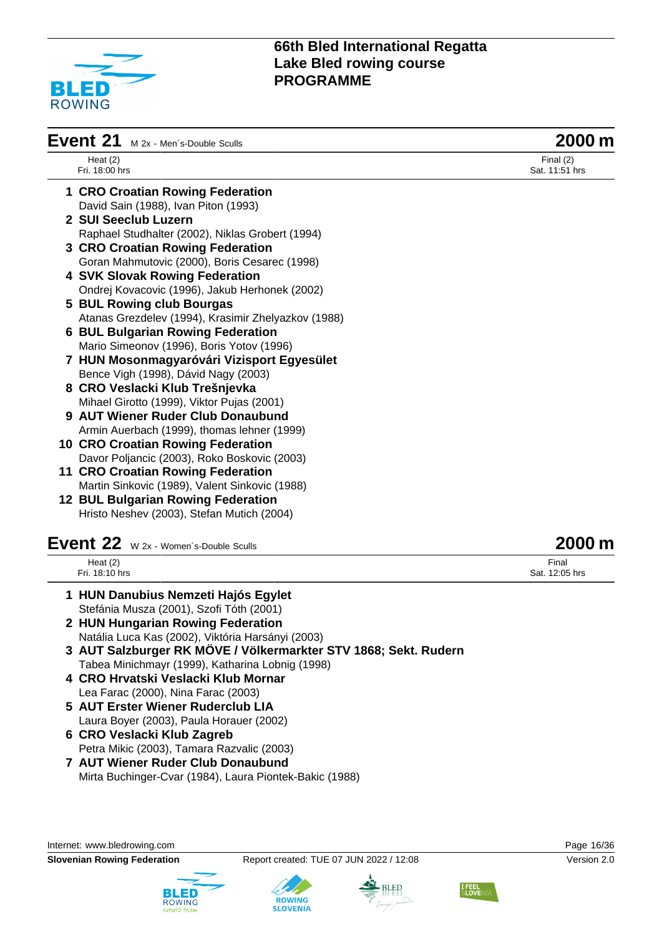

| Event 21<br>M 2x - Men's-Double Sculls |                                                     | 2000 m                        |  |
|----------------------------------------|-----------------------------------------------------|-------------------------------|--|
|                                        | Heat $(2)$<br>Fri. 18:00 hrs                        | Final $(2)$<br>Sat. 11:51 hrs |  |
|                                        | 1 CRO Croatian Rowing Federation                    |                               |  |
|                                        | David Sain (1988), Ivan Piton (1993)                |                               |  |
|                                        | 2 SUI Seeclub Luzern                                |                               |  |
|                                        | Raphael Studhalter (2002), Niklas Grobert (1994)    |                               |  |
|                                        | 3 CRO Croatian Rowing Federation                    |                               |  |
|                                        | Goran Mahmutovic (2000), Boris Cesarec (1998)       |                               |  |
|                                        | <b>4 SVK Slovak Rowing Federation</b>               |                               |  |
|                                        | Ondrej Kovacovic (1996), Jakub Herhonek (2002)      |                               |  |
|                                        | 5 BUL Rowing club Bourgas                           |                               |  |
|                                        | Atanas Grezdelev (1994), Krasimir Zhelyazkov (1988) |                               |  |
|                                        | <b>6 BUL Bulgarian Rowing Federation</b>            |                               |  |
|                                        | Mario Simeonov (1996), Boris Yotov (1996)           |                               |  |
|                                        | 7 HUN Mosonmagyaróvári Vizisport Egyesület          |                               |  |
|                                        | Bence Vigh (1998), Dávid Nagy (2003)                |                               |  |
|                                        | 8 CRO Veslacki Klub Trešnjevka                      |                               |  |
|                                        | Mihael Girotto (1999), Viktor Pujas (2001)          |                               |  |
|                                        | 9 AUT Wiener Ruder Club Donaubund                   |                               |  |
|                                        | Armin Auerbach (1999), thomas lehner (1999)         |                               |  |
|                                        | <b>10 CRO Croatian Rowing Federation</b>            |                               |  |
|                                        | Davor Poljancic (2003), Roko Boskovic (2003)        |                               |  |
|                                        | 11 CRO Croatian Rowing Federation                   |                               |  |
|                                        | Martin Sinkovic (1989), Valent Sinkovic (1988)      |                               |  |
|                                        | <b>12 BUL Bulgarian Rowing Federation</b>           |                               |  |
|                                        | Hristo Neshev (2003), Stefan Mutich (2004)          |                               |  |
|                                        | Event 22 W 2x - Women's-Double Sculls               | 2000 m                        |  |

| <b>Veiit</b><br>,,           | W 2x - Women's-Double Sculls | ZUUU III                |
|------------------------------|------------------------------|-------------------------|
| Heat $(2)$<br>Fri. 18:10 hrs |                              | Final<br>Sat. 12:05 hrs |
|                              |                              |                         |

- **1 HUN Danubius Nemzeti Hajós Egylet** Stefánia Musza (2001), Szofi Tóth (2001)
- **2 HUN Hungarian Rowing Federation** Natália Luca Kas (2002), Viktória Harsányi (2003)
- **3 AUT Salzburger RK MÖVE / Völkermarkter STV 1868; Sekt. Rudern** Tabea Minichmayr (1999), Katharina Lobnig (1998)
- **4 CRO Hrvatski Veslacki Klub Mornar** Lea Farac (2000), Nina Farac (2003)
- **5 AUT Erster Wiener Ruderclub LIA** Laura Boyer (2003), Paula Horauer (2002)
- **6 CRO Veslacki Klub Zagreb** Petra Mikic (2003), Tamara Razvalic (2003)
- **7 AUT Wiener Ruder Club Donaubund** Mirta Buchinger-Cvar (1984), Laura Piontek-Bakic (1988)

Internet: [www.bledrowing.com](http://www.bledrowing.com) Page 16/36





**ROWING** 



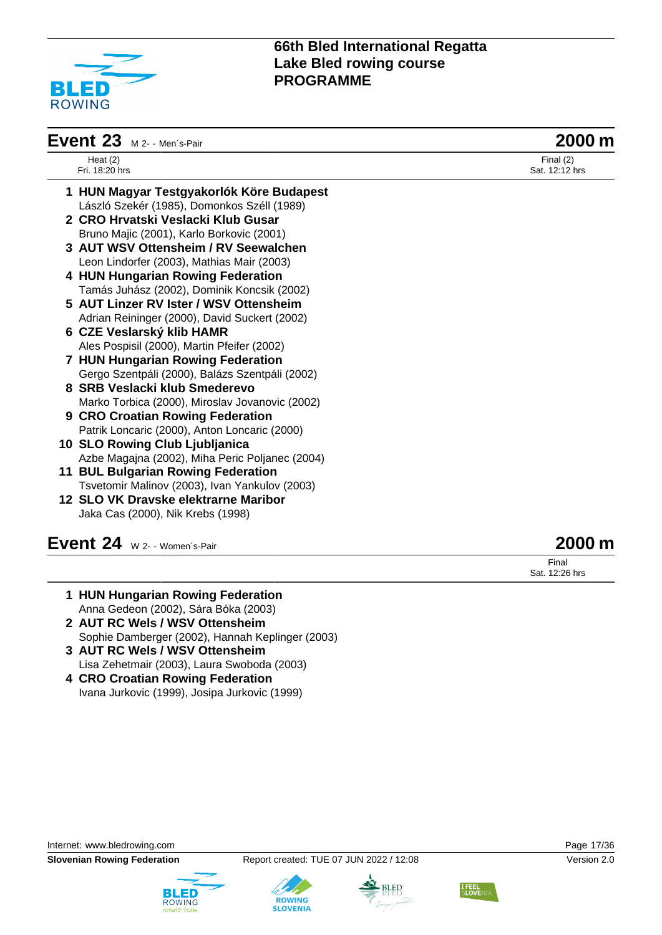

| <b>Event 23</b> $M$ 2- - Men's-Pair             | 2000 m                        |  |
|-------------------------------------------------|-------------------------------|--|
| Heat $(2)$<br>Fri. 18:20 hrs                    | Final $(2)$<br>Sat. 12:12 hrs |  |
| 1 HUN Magyar Testgyakorlók Köre Budapest        |                               |  |
| László Szekér (1985), Domonkos Széll (1989)     |                               |  |
| 2 CRO Hrvatski Veslacki Klub Gusar              |                               |  |
| Bruno Majic (2001), Karlo Borkovic (2001)       |                               |  |
| 3 AUT WSV Ottensheim / RV Seewalchen            |                               |  |
| Leon Lindorfer (2003), Mathias Mair (2003)      |                               |  |
| 4 HUN Hungarian Rowing Federation               |                               |  |
| Tamás Juhász (2002), Dominik Koncsik (2002)     |                               |  |
| 5 AUT Linzer RV Ister / WSV Ottensheim          |                               |  |
| Adrian Reininger (2000), David Suckert (2002)   |                               |  |
| 6 CZE Veslarský klib HAMR                       |                               |  |
| Ales Pospisil (2000), Martin Pfeifer (2002)     |                               |  |
| 7 HUN Hungarian Rowing Federation               |                               |  |
| Gergo Szentpáli (2000), Balázs Szentpáli (2002) |                               |  |
| 8 SRB Veslacki klub Smederevo                   |                               |  |
| Marko Torbica (2000), Miroslav Jovanovic (2002) |                               |  |
| 9 CRO Croatian Rowing Federation                |                               |  |
| Patrik Loncaric (2000), Anton Loncaric (2000)   |                               |  |
| 10 SLO Rowing Club Ljubljanica                  |                               |  |
| Azbe Magajna (2002), Miha Peric Poljanec (2004) |                               |  |
| 11 BUL Bulgarian Rowing Federation              |                               |  |
| Tsvetomir Malinov (2003), Ivan Yankulov (2003)  |                               |  |
| 12 SLO VK Dravske elektrarne Maribor            |                               |  |
| Jaka Cas (2000), Nik Krebs (1998)               |                               |  |
|                                                 |                               |  |

**Event 24** W 2- - Women´s-Pair **2000 m**

Final Sat. 12:26 hrs

- **1 HUN Hungarian Rowing Federation** Anna Gedeon (2002), Sára Bóka (2003)
- **2 AUT RC Wels / WSV Ottensheim** Sophie Damberger (2002), Hannah Keplinger (2003)
- **3 AUT RC Wels / WSV Ottensheim** Lisa Zehetmair (2003), Laura Swoboda (2003)
- **4 CRO Croatian Rowing Federation** Ivana Jurkovic (1999), Josipa Jurkovic (1999)

Internet: [www.bledrowing.com](http://www.bledrowing.com) Page 17/36

**Slovenian Rowing Federation** Report created: TUE 07 JUN 2022 / 12:08 Version 2.0







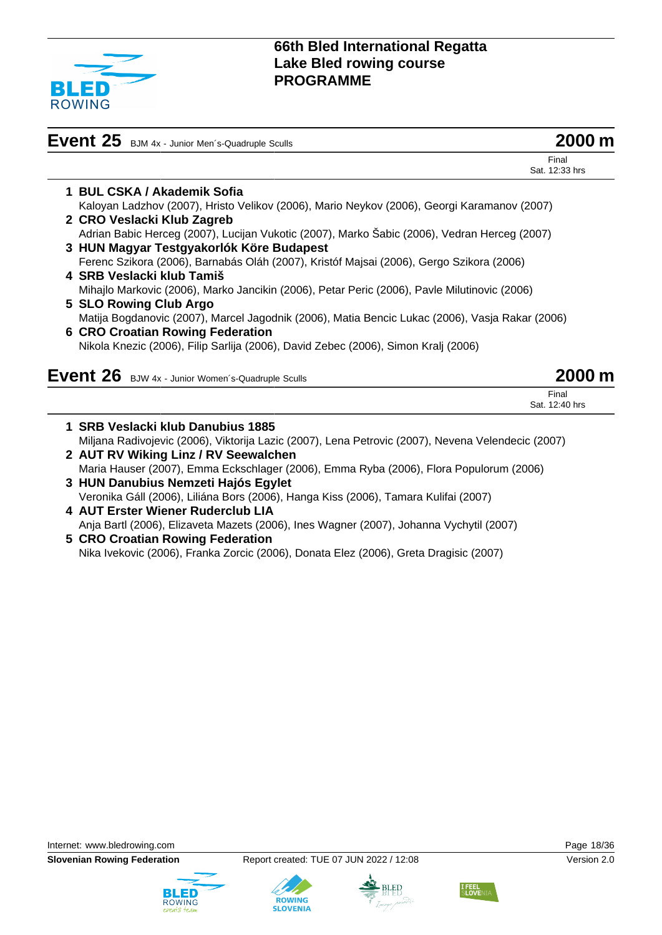

| Event 25 BJM 4x - Junior Men's-Quadruple Sculls                                                 | II m          |
|-------------------------------------------------------------------------------------------------|---------------|
| Final<br>Sat. 12:33 hrs                                                                         |               |
| 1 BUL CSKA / Akademik Sofia                                                                     |               |
| Kaloyan Ladzhov (2007), Hristo Velikov (2006), Mario Neykov (2006), Georgi Karamanov (2007)     |               |
| 2 CRO Veslacki Klub Zagreb                                                                      |               |
| Adrian Babic Herceg (2007), Lucijan Vukotic (2007), Marko Šabic (2006), Vedran Herceg (2007)    |               |
| 3 HUN Magyar Testgyakorlók Köre Budapest                                                        |               |
| Ferenc Szikora (2006), Barnabás Oláh (2007), Kristóf Majsai (2006), Gergo Szikora (2006)        |               |
| 4 SRB Veslacki klub Tamiš                                                                       |               |
| Mihajlo Markovic (2006), Marko Jancikin (2006), Petar Peric (2006), Pavle Milutinovic (2006)    |               |
| 5 SLO Rowing Club Argo                                                                          |               |
| Matija Bogdanovic (2007), Marcel Jagodnik (2006), Matia Bencic Lukac (2006), Vasja Rakar (2006) |               |
| <b>6 CRO Croatian Rowing Federation</b>                                                         |               |
| Nikola Knezic (2006), Filip Sarlija (2006), David Zebec (2006), Simon Kralj (2006)              |               |
| Event 26 BJW 4x - Junior Women's-Quadruple Sculls                                               | <b>2000 m</b> |
| Final                                                                                           |               |
| Sat. 12:40 hrs                                                                                  |               |

| 1 SRB Veslacki klub Danubius 1885                                                                  |
|----------------------------------------------------------------------------------------------------|
| Miljana Radivojevic (2006), Viktorija Lazic (2007), Lena Petrovic (2007), Nevena Velendecic (2007) |
| 2 AUT RV Wiking Linz / RV Seewalchen                                                               |
| Maria Hauser (2007), Emma Eckschlager (2006), Emma Ryba (2006), Flora Populorum (2006)             |
| 3 HUN Danubius Nemzeti Hajós Egylet                                                                |
| Veronika Gáll (2006), Liliána Bors (2006), Hanga Kiss (2006), Tamara Kulifai (2007)                |
|                                                                                                    |

**4 AUT Erster Wiener Ruderclub LIA** Anja Bartl (2006), Elizaveta Mazets (2006), Ines Wagner (2007), Johanna Vychytil (2007)

**5 CRO Croatian Rowing Federation** Nika Ivekovic (2006), Franka Zorcic (2006), Donata Elez (2006), Greta Dragisic (2007)







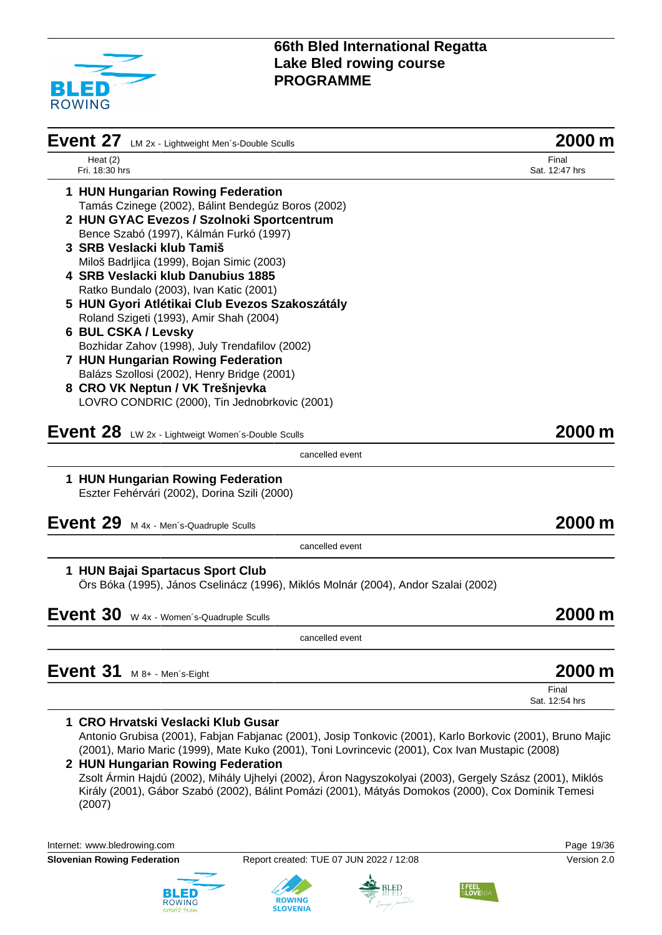

| Event 27<br>LM 2x - Lightweight Men's-Double Sculls                                                                                             | 2000 m                  |
|-------------------------------------------------------------------------------------------------------------------------------------------------|-------------------------|
| Heat $(2)$<br>Fri. 18:30 hrs                                                                                                                    | Final<br>Sat. 12:47 hrs |
| 1 HUN Hungarian Rowing Federation                                                                                                               |                         |
| Tamás Czinege (2002), Bálint Bendegúz Boros (2002)                                                                                              |                         |
| 2 HUN GYAC Evezos / Szolnoki Sportcentrum                                                                                                       |                         |
| Bence Szabó (1997), Kálmán Furkó (1997)                                                                                                         |                         |
| 3 SRB Veslacki klub Tamiš                                                                                                                       |                         |
| Miloš Badrljica (1999), Bojan Simic (2003)<br>4 SRB Veslacki klub Danubius 1885                                                                 |                         |
| Ratko Bundalo (2003), Ivan Katic (2001)                                                                                                         |                         |
| 5 HUN Gyori Atlétikai Club Evezos Szakoszátály                                                                                                  |                         |
| Roland Szigeti (1993), Amir Shah (2004)                                                                                                         |                         |
| 6 BUL CSKA / Levsky                                                                                                                             |                         |
| Bozhidar Zahov (1998), July Trendafilov (2002)                                                                                                  |                         |
| 7 HUN Hungarian Rowing Federation                                                                                                               |                         |
| Balázs Szollosi (2002), Henry Bridge (2001)                                                                                                     |                         |
| 8 CRO VK Neptun / VK Trešnjevka                                                                                                                 |                         |
| LOVRO CONDRIC (2000), Tin Jednobrkovic (2001)                                                                                                   |                         |
| Event 28 LW 2x - Lightweigt Women's-Double Sculls                                                                                               | 2000 m                  |
| cancelled event                                                                                                                                 |                         |
| 1 HUN Hungarian Rowing Federation                                                                                                               |                         |
| Eszter Fehérvári (2002), Dorina Szili (2000)                                                                                                    |                         |
|                                                                                                                                                 | 2000 m                  |
| Event 29 M 4x - Men's-Quadruple Sculls                                                                                                          |                         |
| cancelled event                                                                                                                                 |                         |
| 1 HUN Bajai Spartacus Sport Club<br>Örs Bóka (1995), János Cselinácz (1996), Miklós Molnár (2004), Andor Szalai (2002)                          |                         |
|                                                                                                                                                 |                         |
| Event 30 W 4x - Women's-Quadruple Sculls                                                                                                        | 2000 m                  |
| cancelled event                                                                                                                                 |                         |
| Event 31<br>M 8+ - Men's-Eight                                                                                                                  | 2000 m                  |
|                                                                                                                                                 | Final<br>Sat. 12:54 hrs |
|                                                                                                                                                 |                         |
| 1 CRO Hrvatski Veslacki Klub Gusar<br>Antonio Grubisa (2001), Fabjan Fabjanac (2001), Josip Tonkovic (2001), Karlo Borkovic (2001), Bruno Majic |                         |
| (2001), Mario Maric (1999), Mate Kuko (2001), Toni Lovrincevic (2001), Cox Ivan Mustapic (2008)                                                 |                         |
| 2 HUN Hungarian Rowing Federation                                                                                                               |                         |
| Zsolt Ármin Hajdú (2002), Mihály Ujhelyi (2002), Áron Nagyszokolyai (2003), Gergely Szász (2001), Miklós                                        |                         |
| Király (2001), Gábor Szabó (2002), Bálint Pomázi (2001), Mátyás Domokos (2000), Cox Dominik Temesi                                              |                         |

(2007)

Internet: [www.bledrowing.com](http://www.bledrowing.com) **Page 19/36** 



**Slovenian Rowing Federation** Report created: TUE 07 JUN 2022 / 12:08 Version 2.0

**ROWING**<br>SLOVENIA





**I FEEL**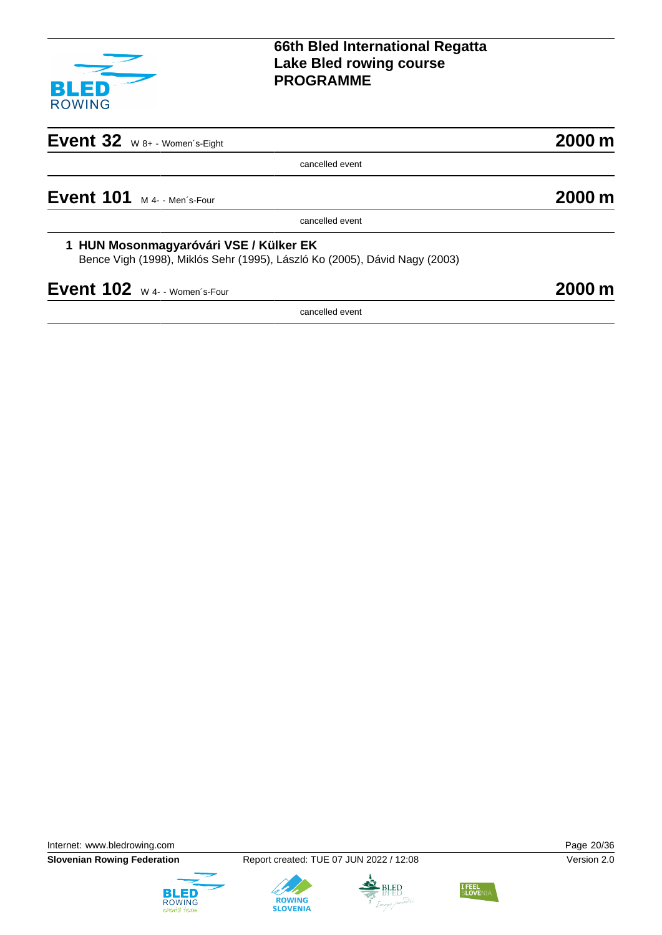

| $2000 \text{ m}$    |
|---------------------|
|                     |
| $2000 \,\mathrm{m}$ |
|                     |
|                     |
| 2000 m              |
|                     |
|                     |

Internet: [www.bledrowing.com](http://www.bledrowing.com) **Page 20/36** 





**ROWING**<br>SLOVENIA



**I FEEL**<br>SLOVEN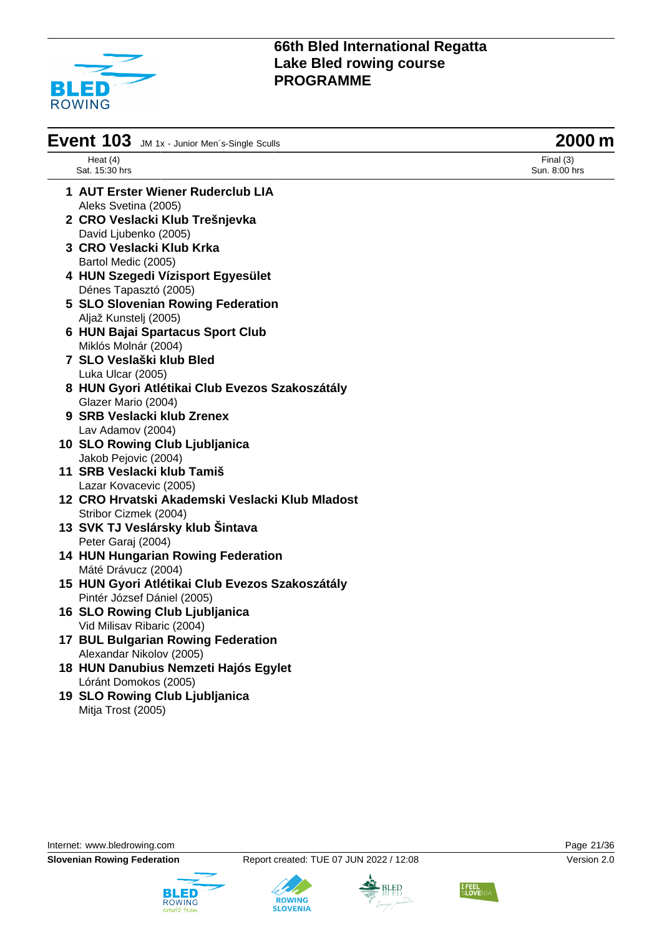

| Event 103 JM 1x - Junior Men's-Single Sculls    | 2000 m                       |
|-------------------------------------------------|------------------------------|
| Heat $(4)$<br>Sat. 15:30 hrs                    | Final $(3)$<br>Sun. 8:00 hrs |
| 1 AUT Erster Wiener Ruderclub LIA               |                              |
| Aleks Svetina (2005)                            |                              |
| 2 CRO Veslacki Klub Trešnjevka                  |                              |
| David Ljubenko (2005)                           |                              |
| 3 CRO Veslacki Klub Krka                        |                              |
| Bartol Medic (2005)                             |                              |
| 4 HUN Szegedi Vízisport Egyesület               |                              |
| Dénes Tapasztó (2005)                           |                              |
| 5 SLO Slovenian Rowing Federation               |                              |
| Aljaž Kunstelj (2005)                           |                              |
| 6 HUN Bajai Spartacus Sport Club                |                              |
| Miklós Molnár (2004)                            |                              |
| 7 SLO Veslaški klub Bled                        |                              |
| Luka Ulcar (2005)                               |                              |
| 8 HUN Gyori Atlétikai Club Evezos Szakoszátály  |                              |
| Glazer Mario (2004)                             |                              |
| 9 SRB Veslacki klub Zrenex                      |                              |
| Lav Adamov (2004)                               |                              |
| 10 SLO Rowing Club Ljubljanica                  |                              |
| Jakob Pejovic (2004)                            |                              |
| 11 SRB Veslacki klub Tamiš                      |                              |
| Lazar Kovacevic (2005)                          |                              |
| 12 CRO Hrvatski Akademski Veslacki Klub Mladost |                              |
| Stribor Cizmek (2004)                           |                              |
| 13 SVK TJ Veslársky klub Šintava                |                              |
| Peter Garaj (2004)                              |                              |
| <b>14 HUN Hungarian Rowing Federation</b>       |                              |
| Máté Drávucz (2004)                             |                              |
| 15 HUN Gyori Atlétikai Club Evezos Szakoszátály |                              |
| Pintér József Dániel (2005)                     |                              |
| 16 SLO Rowing Club Ljubljanica                  |                              |
| Vid Milisav Ribaric (2004)                      |                              |
| <b>17 BUL Bulgarian Rowing Federation</b>       |                              |
| Alexandar Nikolov (2005)                        |                              |
| 18 HUN Danubius Nemzeti Hajós Egylet            |                              |
| Lóránt Domokos (2005)                           |                              |
| 19 SLO Rowing Club Ljubljanica                  |                              |
| Mitja Trost (2005)                              |                              |

Internet: [www.bledrowing.com](http://www.bledrowing.com) **Page 21/36** 





**ROWING**<br>SLOVENIA



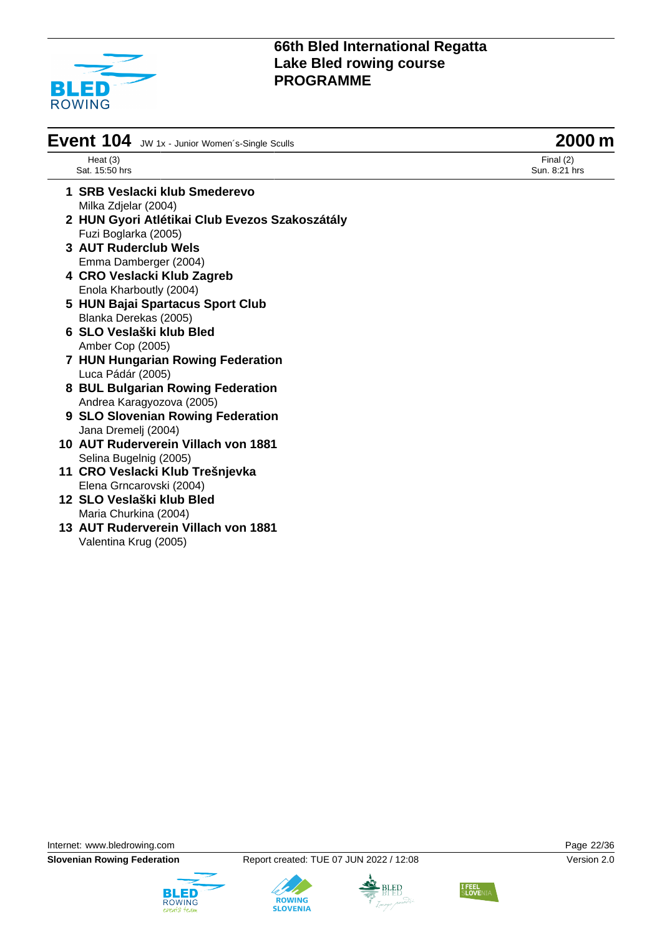

| Event 104 JW 1x - Junior Women's-Single Sculls | 2000 m                       |
|------------------------------------------------|------------------------------|
| Heat $(3)$<br>Sat. 15:50 hrs                   | Final $(2)$<br>Sun. 8:21 hrs |
|                                                |                              |

- **1 SRB Veslacki klub Smederevo** Milka Zdjelar (2004) **2 HUN Gyori Atlétikai Club Evezos Szakoszátály**
	- Fuzi Boglarka (2005)
- **3 AUT Ruderclub Wels** Emma Damberger (2004)
- **4 CRO Veslacki Klub Zagreb** Enola Kharboutly (2004)
- **5 HUN Bajai Spartacus Sport Club** Blanka Derekas (2005)
- **6 SLO Veslaški klub Bled** Amber Cop (2005)
- **7 HUN Hungarian Rowing Federation** Luca Pádár (2005)
- **8 BUL Bulgarian Rowing Federation** Andrea Karagyozova (2005)
- **9 SLO Slovenian Rowing Federation** Jana Dremelj (2004)
- **10 AUT Ruderverein Villach von 1881** Selina Bugelnig (2005)
- **11 CRO Veslacki Klub Trešnjevka** Elena Grncarovski (2004)
- **12 SLO Veslaški klub Bled** Maria Churkina (2004)
- **13 AUT Ruderverein Villach von 1881** Valentina Krug (2005)

Internet: [www.bledrowing.com](http://www.bledrowing.com) **Page 22/36** 









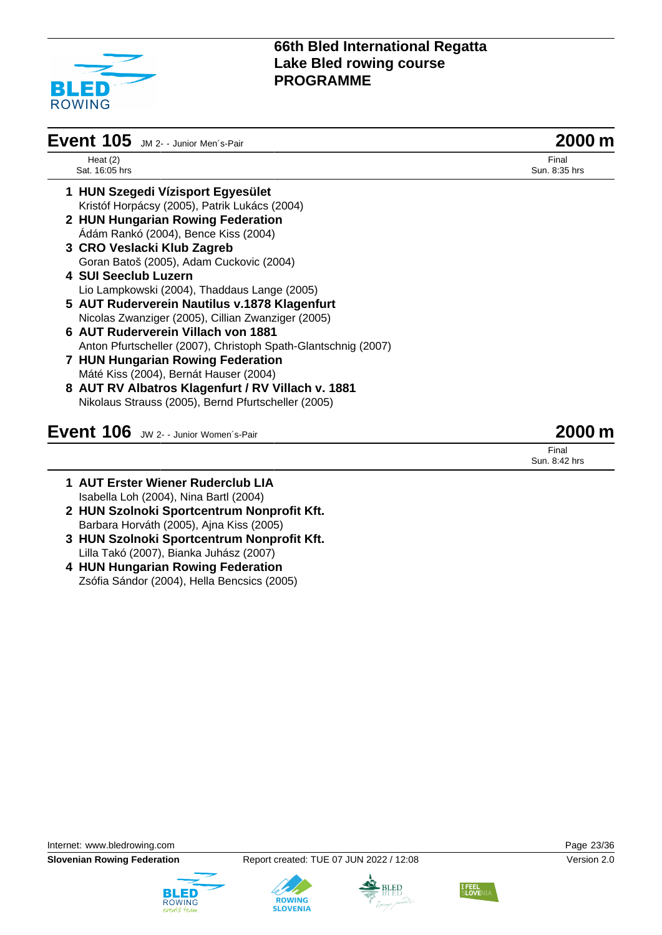

| Event 105 JM 2- - Junior Men's-Pair                            | 2000 m                 |
|----------------------------------------------------------------|------------------------|
| Heat $(2)$<br>Sat. 16:05 hrs                                   | Final<br>Sun. 8:35 hrs |
| 1 HUN Szegedi Vízisport Egyesület                              |                        |
| Kristóf Horpácsy (2005), Patrik Lukács (2004)                  |                        |
| 2 HUN Hungarian Rowing Federation                              |                        |
| Ádám Rankó (2004), Bence Kiss (2004)                           |                        |
| 3 CRO Veslacki Klub Zagreb                                     |                        |
| Goran Batoš (2005), Adam Cuckovic (2004)                       |                        |
| 4 SUI Seeclub Luzern                                           |                        |
| Lio Lampkowski (2004), Thaddaus Lange (2005)                   |                        |
| 5 AUT Ruderverein Nautilus v.1878 Klagenfurt                   |                        |
| Nicolas Zwanziger (2005), Cillian Zwanziger (2005)             |                        |
| 6 AUT Ruderverein Villach von 1881                             |                        |
| Anton Pfurtscheller (2007), Christoph Spath-Glantschnig (2007) |                        |
| 7 HUN Hungarian Rowing Federation                              |                        |
| Máté Kiss (2004), Bernát Hauser (2004)                         |                        |
| 8 AUT RV Albatros Klagenfurt / RV Villach v. 1881              |                        |
| Nikolaus Strauss (2005), Bernd Pfurtscheller (2005)            |                        |
| Event 106 JW 2- - Junior Women's-Pair                          | 2000 m                 |
|                                                                | Final<br>Sun. 8:42 hrs |

- **1 AUT Erster Wiener Ruderclub LIA** Isabella Loh (2004), Nina Bartl (2004) **2 HUN Szolnoki Sportcentrum Nonprofit Kft.** Barbara Horváth (2005), Ajna Kiss (2005)
- **3 HUN Szolnoki Sportcentrum Nonprofit Kft.** Lilla Takó (2007), Bianka Juhász (2007)
- **4 HUN Hungarian Rowing Federation** Zsófia Sándor (2004), Hella Bencsics (2005)







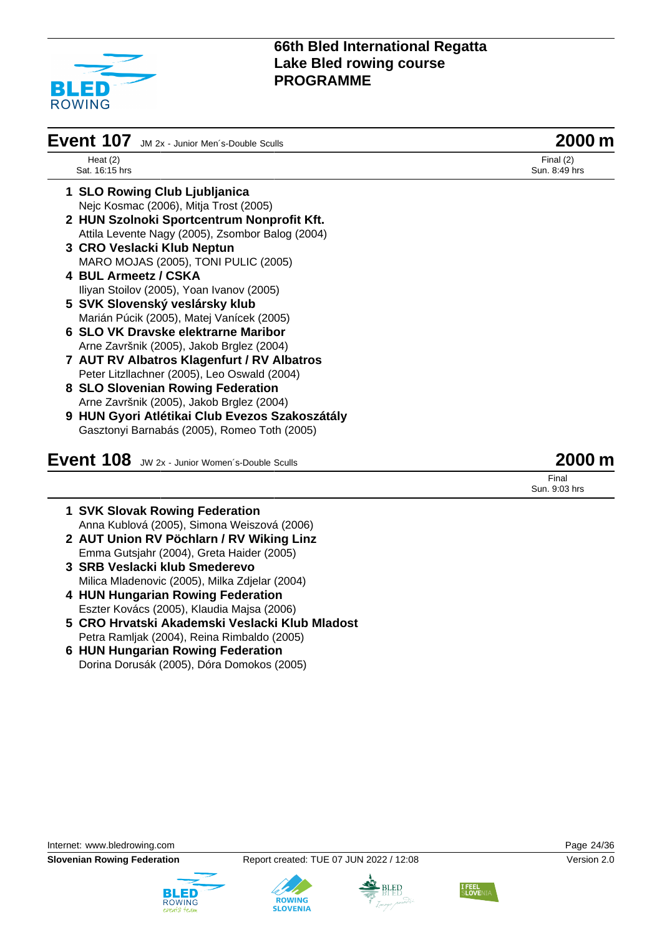

| <b>Event 107</b><br>JM 2x - Junior Men's-Double Sculls | 2000 m                       |
|--------------------------------------------------------|------------------------------|
| Heat $(2)$<br>Sat. 16:15 hrs                           | Final $(2)$<br>Sun. 8:49 hrs |
| 1 SLO Rowing Club Ljubljanica                          |                              |
| Nejc Kosmac (2006), Mitja Trost (2005)                 |                              |
| 2 HUN Szolnoki Sportcentrum Nonprofit Kft.             |                              |
| Attila Levente Nagy (2005), Zsombor Balog (2004)       |                              |
| 3 CRO Veslacki Klub Neptun                             |                              |
| MARO MOJAS (2005), TONI PULIC (2005)                   |                              |
| 4 BUL Armeetz / CSKA                                   |                              |
| Iliyan Stoilov (2005), Yoan Ivanov (2005)              |                              |
| 5 SVK Slovenský veslársky klub                         |                              |
| Marián Púcik (2005), Matej Vanícek (2005)              |                              |
| 6 SLO VK Dravske elektrarne Maribor                    |                              |
| Arne Završnik (2005), Jakob Brglez (2004)              |                              |
| 7 AUT RV Albatros Klagenfurt / RV Albatros             |                              |
| Peter Litzllachner (2005), Leo Oswald (2004)           |                              |
| 8 SLO Slovenian Rowing Federation                      |                              |
| Arne Završnik (2005), Jakob Brglez (2004)              |                              |
| 9 HUN Gyori Atlétikai Club Evezos Szakoszátály         |                              |
| Gasztonyi Barnabás (2005), Romeo Toth (2005)           |                              |
| Event 108 JW 2x - Junior Women's-Double Sculls         | 2000 m                       |
|                                                        | Final<br>Sun, 9:03 hrs       |

- **1 SVK Slovak Rowing Federation** Anna Kublová (2005), Simona Weiszová (2006)
- **2 AUT Union RV Pöchlarn / RV Wiking Linz** Emma Gutsjahr (2004), Greta Haider (2005)
- **3 SRB Veslacki klub Smederevo** Milica Mladenovic (2005), Milka Zdjelar (2004)
- **4 HUN Hungarian Rowing Federation** Eszter Kovács (2005), Klaudia Majsa (2006)
- **5 CRO Hrvatski Akademski Veslacki Klub Mladost** Petra Ramljak (2004), Reina Rimbaldo (2005)
- **6 HUN Hungarian Rowing Federation** Dorina Dorusák (2005), Dóra Domokos (2005)

Internet: [www.bledrowing.com](http://www.bledrowing.com) Page 24/36









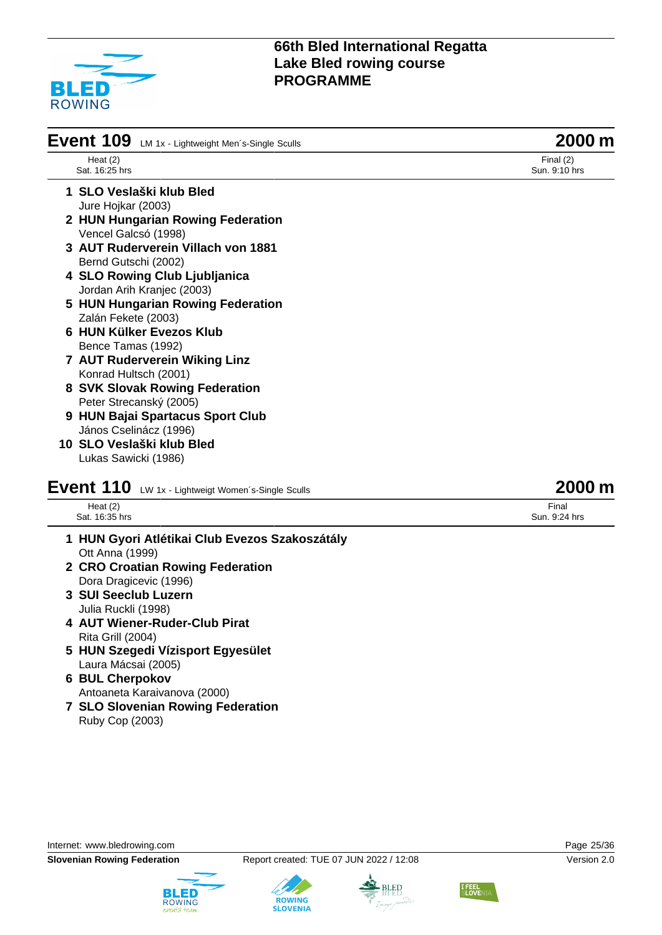

| Event 109 LM 1x - Lightweight Men's-Single Sculls           | 2000 m                       |
|-------------------------------------------------------------|------------------------------|
| Heat $(2)$<br>Sat. 16:25 hrs                                | Final $(2)$<br>Sun. 9:10 hrs |
| 1 SLO Veslaški klub Bled                                    |                              |
| Jure Hojkar (2003)                                          |                              |
| 2 HUN Hungarian Rowing Federation                           |                              |
| Vencel Galcsó (1998)                                        |                              |
| 3 AUT Ruderverein Villach von 1881                          |                              |
| Bernd Gutschi (2002)                                        |                              |
| 4 SLO Rowing Club Ljubljanica                               |                              |
| Jordan Arih Kranjec (2003)                                  |                              |
| 5 HUN Hungarian Rowing Federation                           |                              |
| Zalán Fekete (2003)                                         |                              |
| 6 HUN Külker Evezos Klub                                    |                              |
| Bence Tamas (1992)                                          |                              |
| 7 AUT Ruderverein Wiking Linz                               |                              |
| Konrad Hultsch (2001)                                       |                              |
| 8 SVK Slovak Rowing Federation                              |                              |
| Peter Strecanský (2005)                                     |                              |
| 9 HUN Bajai Spartacus Sport Club                            |                              |
| János Cselinácz (1996)                                      |                              |
| 10 SLO Veslaški klub Bled                                   |                              |
| Lukas Sawicki (1986)                                        |                              |
| Fvant 110<br>138/ Ave., Linkbursted Memorials Cinele Caulle | 2000 m                       |

## **I IU** LW 1x - Lightweigt Women´s-Single Sculls

| Heat $(2)$                  |  | Final       |
|-----------------------------|--|-------------|
| 16.35'<br>Sat.<br>⊺hrs<br>. |  | Sun.<br>nrs |
|                             |  |             |

- **1 HUN Gyori Atlétikai Club Evezos Szakoszátály** Ott Anna (1999)
- **2 CRO Croatian Rowing Federation** Dora Dragicevic (1996)
- **3 SUI Seeclub Luzern** Julia Ruckli (1998)
- **4 AUT Wiener-Ruder-Club Pirat** Rita Grill (2004)
- **5 HUN Szegedi Vízisport Egyesület** Laura Mácsai (2005)
- **6 BUL Cherpokov** Antoaneta Karaivanova (2000)
- **7 SLO Slovenian Rowing Federation** Ruby Cop (2003)

Internet: [www.bledrowing.com](http://www.bledrowing.com) Page 25/36 **Slovenian Rowing Federation** Report created: TUE 07 JUN 2022 / 12:08 Version 2.0







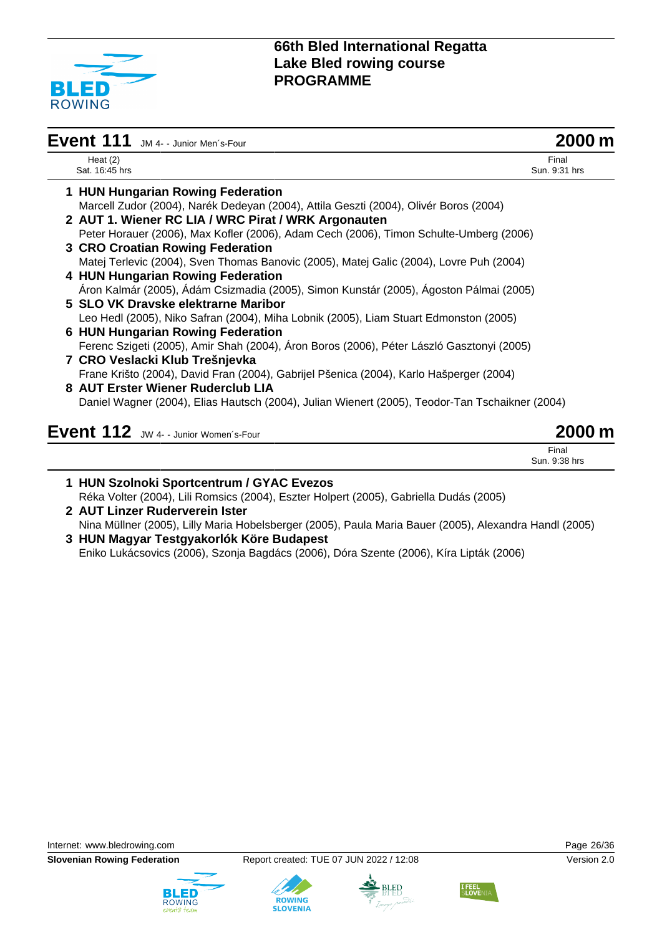

| Event 111 JM 4- - Junior Men's-Four                                                             | 2000 m                 |
|-------------------------------------------------------------------------------------------------|------------------------|
| Heat $(2)$<br>Sat. 16:45 hrs                                                                    | Final<br>Sun, 9:31 hrs |
| 1 HUN Hungarian Rowing Federation                                                               |                        |
| Marcell Zudor (2004), Narék Dedeyan (2004), Attila Geszti (2004), Olivér Boros (2004)           |                        |
| 2 AUT 1. Wiener RC LIA / WRC Pirat / WRK Argonauten                                             |                        |
| Peter Horauer (2006), Max Kofler (2006), Adam Cech (2006), Timon Schulte-Umberg (2006)          |                        |
| 3 CRO Croatian Rowing Federation                                                                |                        |
| Matej Terlevic (2004), Sven Thomas Banovic (2005), Matej Galic (2004), Lovre Puh (2004)         |                        |
| 4 HUN Hungarian Rowing Federation                                                               |                        |
| Áron Kalmár (2005), Ádám Csizmadia (2005), Simon Kunstár (2005), Ágoston Pálmai (2005)          |                        |
| 5 SLO VK Dravske elektrarne Maribor                                                             |                        |
| Leo Hedl (2005), Niko Safran (2004), Miha Lobnik (2005), Liam Stuart Edmonston (2005)           |                        |
| 6 HUN Hungarian Rowing Federation                                                               |                        |
| Ferenc Szigeti (2005), Amir Shah (2004), Áron Boros (2006), Péter László Gasztonyi (2005)       |                        |
| 7 CRO Veslacki Klub Trešnjevka                                                                  |                        |
| Frane Krišto (2004), David Fran (2004), Gabrijel Pšenica (2004), Karlo Hašperger (2004)         |                        |
| 8 AUT Erster Wiener Ruderclub LIA                                                               |                        |
| Daniel Wagner (2004), Elias Hautsch (2004), Julian Wienert (2005), Teodor-Tan Tschaikner (2004) |                        |
| Event 112 JW 4- - Junior Women's-Four                                                           |                        |

| 1 HUN Szolnoki Sportcentrum / GYAC Evezos                                                               |
|---------------------------------------------------------------------------------------------------------|
| Réka Volter (2004), Lili Romsics (2004), Eszter Holpert (2005), Gabriella Dudás (2005)                  |
| 2 AUT Linzer Ruderverein Ister                                                                          |
| Nina Müllner (2005), Lilly Maria Hobelsberger (2005), Paula Maria Bauer (2005), Alexandra Handl (2005)  |
| 3 HUN Magyar Testgyakorlók Köre Budapest                                                                |
| $F: \mathbb{L} \cup \{f\}$ (0000) $G: \mathbb{L} \cup \{f\}$ (0000) $D' \cup D'$ (0000) $\{f'\}$ (0000) |

Eniko Lukácsovics (2006), Szonja Bagdács (2006), Dóra Szente (2006), Kíra Lipták (2006)









Final Sun. 9:38 hrs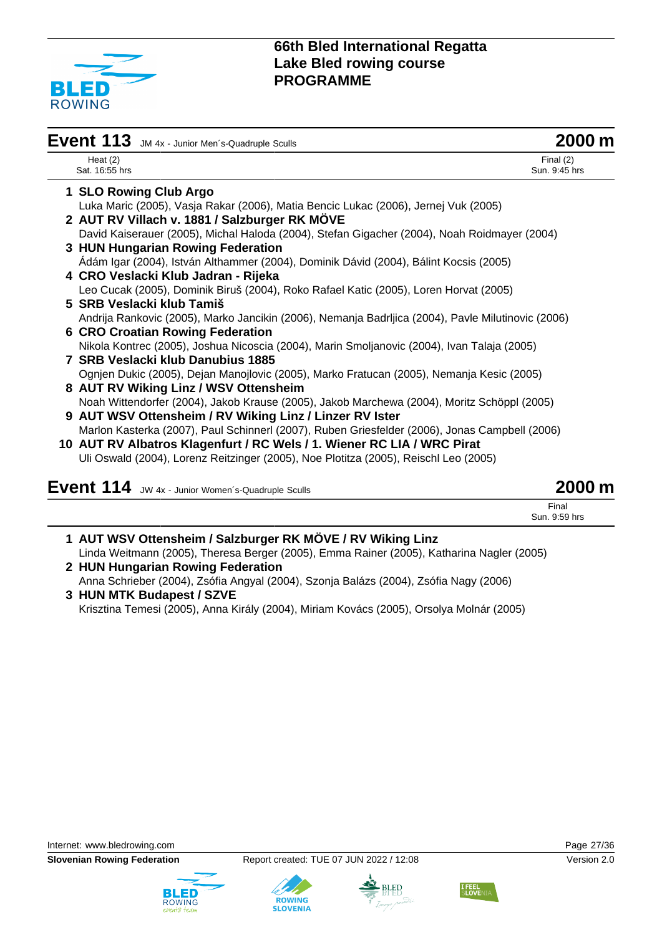

| Event 113 JM 4x - Junior Men's-Quadruple Sculls                                                    | 2000 m                       |
|----------------------------------------------------------------------------------------------------|------------------------------|
| Heat $(2)$<br>Sat. 16:55 hrs                                                                       | Final $(2)$<br>Sun. 9:45 hrs |
| 1 SLO Rowing Club Argo                                                                             |                              |
| Luka Maric (2005), Vasja Rakar (2006), Matia Bencic Lukac (2006), Jernej Vuk (2005)                |                              |
| 2 AUT RV Villach v. 1881 / Salzburger RK MÖVE                                                      |                              |
| David Kaiserauer (2005), Michal Haloda (2004), Stefan Gigacher (2004), Noah Roidmayer (2004)       |                              |
| 3 HUN Hungarian Rowing Federation                                                                  |                              |
| Ádám Igar (2004), István Althammer (2004), Dominik Dávid (2004), Bálint Kocsis (2005)              |                              |
| 4 CRO Veslacki Klub Jadran - Rijeka                                                                |                              |
| Leo Cucak (2005), Dominik Biruš (2004), Roko Rafael Katic (2005), Loren Horvat (2005)              |                              |
| 5 SRB Veslacki klub Tamiš                                                                          |                              |
| Andrija Rankovic (2005), Marko Jancikin (2006), Nemanja Badrljica (2004), Pavle Milutinovic (2006) |                              |
| <b>6 CRO Croatian Rowing Federation</b>                                                            |                              |
| Nikola Kontrec (2005), Joshua Nicoscia (2004), Marin Smoljanovic (2004), Ivan Talaja (2005)        |                              |
| 7 SRB Veslacki klub Danubius 1885                                                                  |                              |
| Ognjen Dukic (2005), Dejan Manojlovic (2005), Marko Fratucan (2005), Nemanja Kesic (2005)          |                              |
| 8 AUT RV Wiking Linz / WSV Ottensheim                                                              |                              |
| Noah Wittendorfer (2004), Jakob Krause (2005), Jakob Marchewa (2004), Moritz Schöppl (2005)        |                              |
| 9 AUT WSV Ottensheim / RV Wiking Linz / Linzer RV Ister                                            |                              |
| Marlon Kasterka (2007), Paul Schinnerl (2007), Ruben Griesfelder (2006), Jonas Campbell (2006)     |                              |
| 10 AUT RV Albatros Klagenfurt / RC Wels / 1. Wiener RC LIA / WRC Pirat                             |                              |
| Uli Oswald (2004), Lorenz Reitzinger (2005), Noe Plotitza (2005), Reischl Leo (2005)               |                              |
| .                                                                                                  |                              |

| Event 114 JW 4x - Junior Women's-Quadruple Sculls | 2000 m        |
|---------------------------------------------------|---------------|
|                                                   | Final         |
|                                                   | Sun. 9:59 hrs |
|                                                   |               |

- **1 AUT WSV Ottensheim / Salzburger RK MÖVE / RV Wiking Linz** Linda Weitmann (2005), Theresa Berger (2005), Emma Rainer (2005), Katharina Nagler (2005) **2 HUN Hungarian Rowing Federation**
- Anna Schrieber (2004), Zsófia Angyal (2004), Szonja Balázs (2004), Zsófia Nagy (2006) **3 HUN MTK Budapest / SZVE**

Krisztina Temesi (2005), Anna Király (2004), Miriam Kovács (2005), Orsolya Molnár (2005)









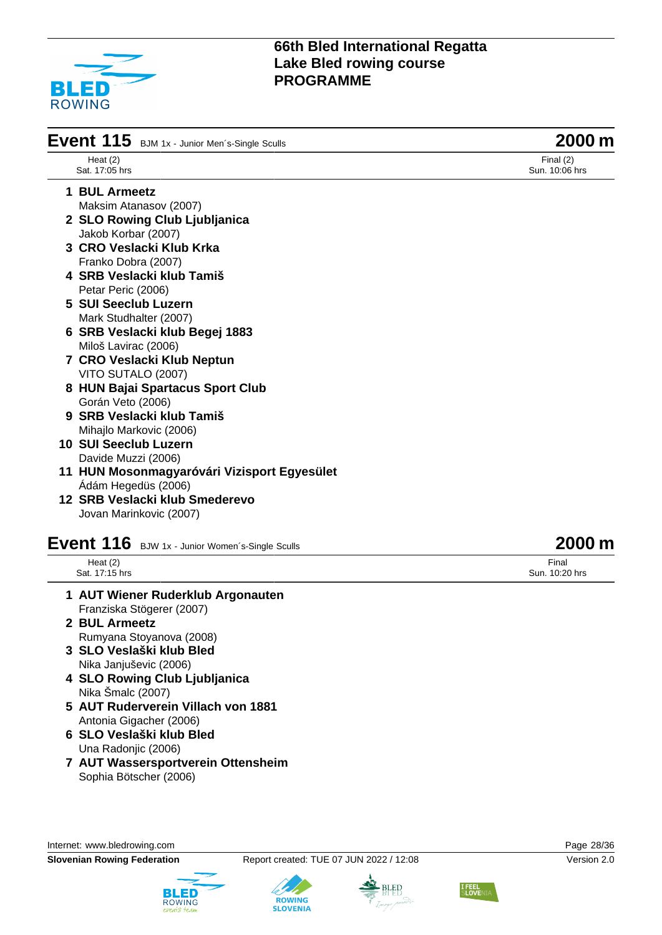

| Event 115 BJM 1x - Junior Men's-Single Sculls | 2000 m                        |
|-----------------------------------------------|-------------------------------|
| Heat $(2)$<br>Sat. 17:05 hrs                  | Final $(2)$<br>Sun. 10:06 hrs |
| 1 BUL Armeetz                                 |                               |
| Maksim Atanasov (2007)                        |                               |
| 2 SLO Rowing Club Ljubljanica                 |                               |
| Jakob Korbar (2007)                           |                               |
| 3 CRO Veslacki Klub Krka                      |                               |
| Franko Dobra (2007)                           |                               |
| 4 SRB Veslacki klub Tamiš                     |                               |
| Petar Peric (2006)                            |                               |
| 5 SUI Seeclub Luzern                          |                               |
| Mark Studhalter (2007)                        |                               |
| 6 SRB Veslacki klub Begej 1883                |                               |
| Miloš Lavirac (2006)                          |                               |
| 7 CRO Veslacki Klub Neptun                    |                               |
| VITO SUTALO (2007)                            |                               |
| 8 HUN Bajai Spartacus Sport Club              |                               |
| Gorán Veto (2006)                             |                               |
| 9 SRB Veslacki klub Tamiš                     |                               |
| Mihajlo Markovic (2006)                       |                               |
| 10 SUI Seeclub Luzern                         |                               |
| Davide Muzzi (2006)                           |                               |
| 11 HUN Mosonmagyaróvári Vizisport Egyesület   |                               |
| Ádám Hegedüs (2006)                           |                               |
| 12 SRB Veslacki klub Smederevo                |                               |

Jovan Marinkovic (2007)

# **Event 116** BJW 1x - Junior Women's-Single Sculls **2000 m**

Heat (2) Sat. 17:15 hrs

- **1 AUT Wiener Ruderklub Argonauten** Franziska Stögerer (2007)
- **2 BUL Armeetz** Rumyana Stoyanova (2008)
- **3 SLO Veslaški klub Bled** Nika Janjuševic (2006)
- **4 SLO Rowing Club Ljubljanica** Nika Šmalc (2007)
- **5 AUT Ruderverein Villach von 1881** Antonia Gigacher (2006)
- **6 SLO Veslaški klub Bled** Una Radonjic (2006)
- **7 AUT Wassersportverein Ottensheim** Sophia Bötscher (2006)

Internet: [www.bledrowing.com](http://www.bledrowing.com) Page 28/36





**ROWING** 

**SLOVENIA** 





# Final

Sun. 10:20 hrs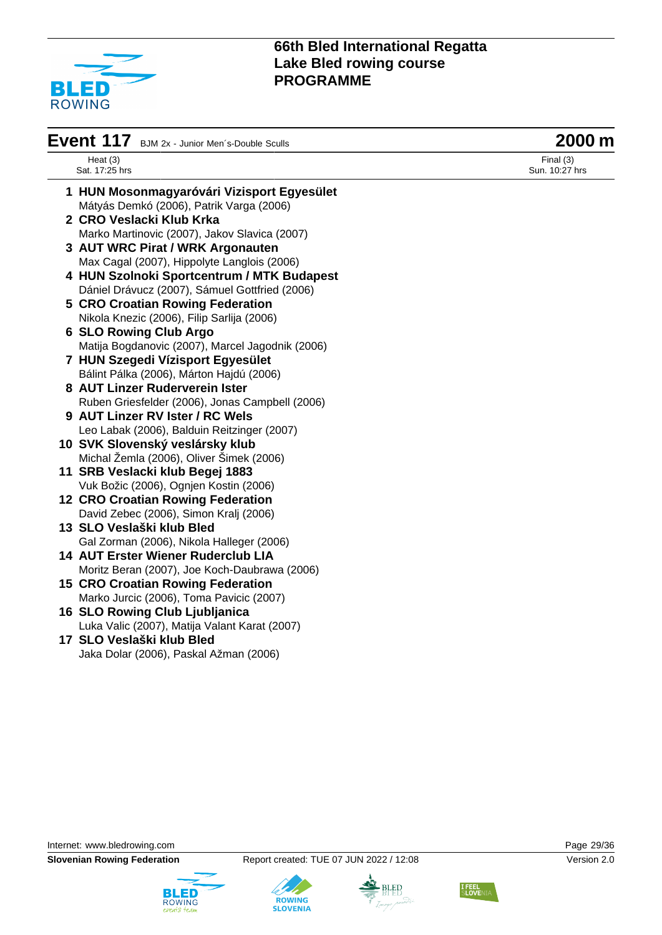

| Event 117 BJM 2x - Junior Men's-Double Sculls    | 2000 m                        |
|--------------------------------------------------|-------------------------------|
| Heat $(3)$<br>Sat. 17:25 hrs                     | Final $(3)$<br>Sun. 10:27 hrs |
| 1 HUN Mosonmagyaróvári Vizisport Egyesület       |                               |
| Mátyás Demkó (2006), Patrik Varga (2006)         |                               |
| 2 CRO Veslacki Klub Krka                         |                               |
| Marko Martinovic (2007), Jakov Slavica (2007)    |                               |
| 3 AUT WRC Pirat / WRK Argonauten                 |                               |
| Max Cagal (2007), Hippolyte Langlois (2006)      |                               |
| 4 HUN Szolnoki Sportcentrum / MTK Budapest       |                               |
| Dániel Drávucz (2007), Sámuel Gottfried (2006)   |                               |
| <b>5 CRO Croatian Rowing Federation</b>          |                               |
| Nikola Knezic (2006), Filip Sarlija (2006)       |                               |
| <b>6 SLO Rowing Club Argo</b>                    |                               |
| Matija Bogdanovic (2007), Marcel Jagodnik (2006) |                               |
| 7 HUN Szegedi Vízisport Egyesület                |                               |
| Bálint Pálka (2006), Márton Hajdú (2006)         |                               |
| 8 AUT Linzer Ruderverein Ister                   |                               |
| Ruben Griesfelder (2006), Jonas Campbell (2006)  |                               |
| 9 AUT Linzer RV Ister / RC Wels                  |                               |
| Leo Labak (2006), Balduin Reitzinger (2007)      |                               |
| 10 SVK Slovenský veslársky klub                  |                               |
| Michal Žemla (2006), Oliver Šimek (2006)         |                               |
| 11 SRB Veslacki klub Begej 1883                  |                               |
| Vuk Božic (2006), Ognjen Kostin (2006)           |                               |
| <b>12 CRO Croatian Rowing Federation</b>         |                               |
| David Zebec (2006), Simon Kralj (2006)           |                               |
| 13 SLO Veslaški klub Bled                        |                               |
| Gal Zorman (2006), Nikola Halleger (2006)        |                               |
| <b>14 AUT Erster Wiener Ruderclub LIA</b>        |                               |
| Moritz Beran (2007), Joe Koch-Daubrawa (2006)    |                               |
| <b>15 CRO Croatian Rowing Federation</b>         |                               |
| Marko Jurcic (2006), Toma Pavicic (2007)         |                               |
| 16 SLO Rowing Club Ljubljanica                   |                               |
| Luka Valic (2007), Matija Valant Karat (2007)    |                               |
| 17 SLO Veslaški klub Bled                        |                               |
| Jaka Dolar (2006), Paskal Ažman (2006)           |                               |
|                                                  |                               |
|                                                  |                               |









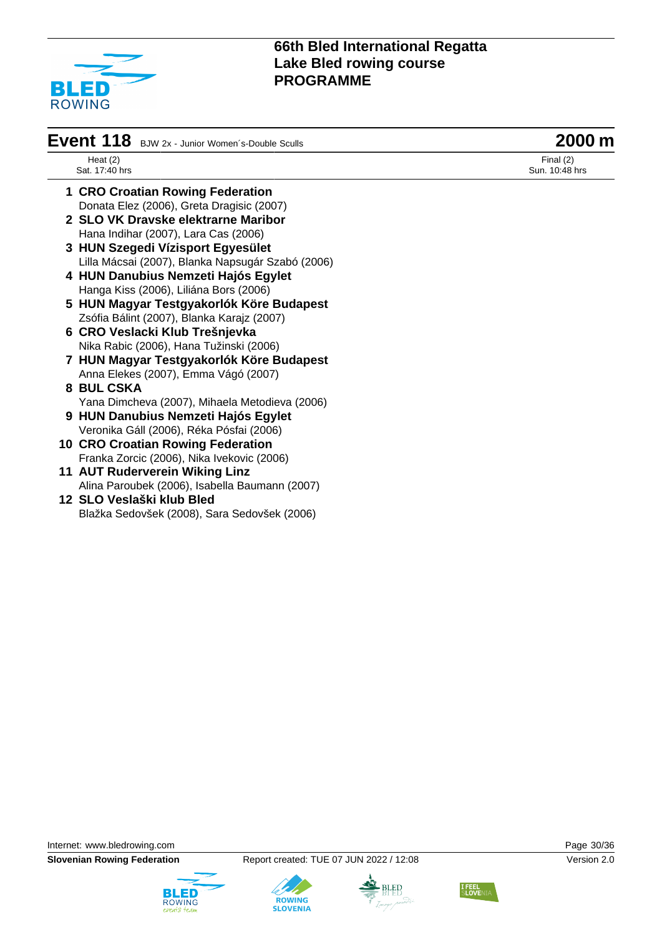

| Event 118 BJW 2x - Junior Women's-Double Sculls | 2000 m |
|-------------------------------------------------|--------|
|-------------------------------------------------|--------|

Heat (2) Sat. 17:40 hrs

- **1 CRO Croatian Rowing Federation** Donata Elez (2006), Greta Dragisic (2007)
- **2 SLO VK Dravske elektrarne Maribor** Hana Indihar (2007), Lara Cas (2006)
- **3 HUN Szegedi Vízisport Egyesület** Lilla Mácsai (2007), Blanka Napsugár Szabó (2006)
- **4 HUN Danubius Nemzeti Hajós Egylet** Hanga Kiss (2006), Liliána Bors (2006)
- **5 HUN Magyar Testgyakorlók Köre Budapest** Zsófia Bálint (2007), Blanka Karajz (2007)
- **6 CRO Veslacki Klub Trešnjevka** Nika Rabic (2006), Hana Tužinski (2006)
- **7 HUN Magyar Testgyakorlók Köre Budapest** Anna Elekes (2007), Emma Vágó (2007)
- **8 BUL CSKA** Yana Dimcheva (2007), Mihaela Metodieva (2006)
- **9 HUN Danubius Nemzeti Hajós Egylet** Veronika Gáll (2006), Réka Pósfai (2006)
- **10 CRO Croatian Rowing Federation** Franka Zorcic (2006), Nika Ivekovic (2006)
- **11 AUT Ruderverein Wiking Linz** Alina Paroubek (2006), Isabella Baumann (2007)
- **12 SLO Veslaški klub Bled** Blažka Sedovšek (2008), Sara Sedovšek (2006)

Final (2) Sun. 10:48 hrs

Internet: [www.bledrowing.com](http://www.bledrowing.com) Page 30/36







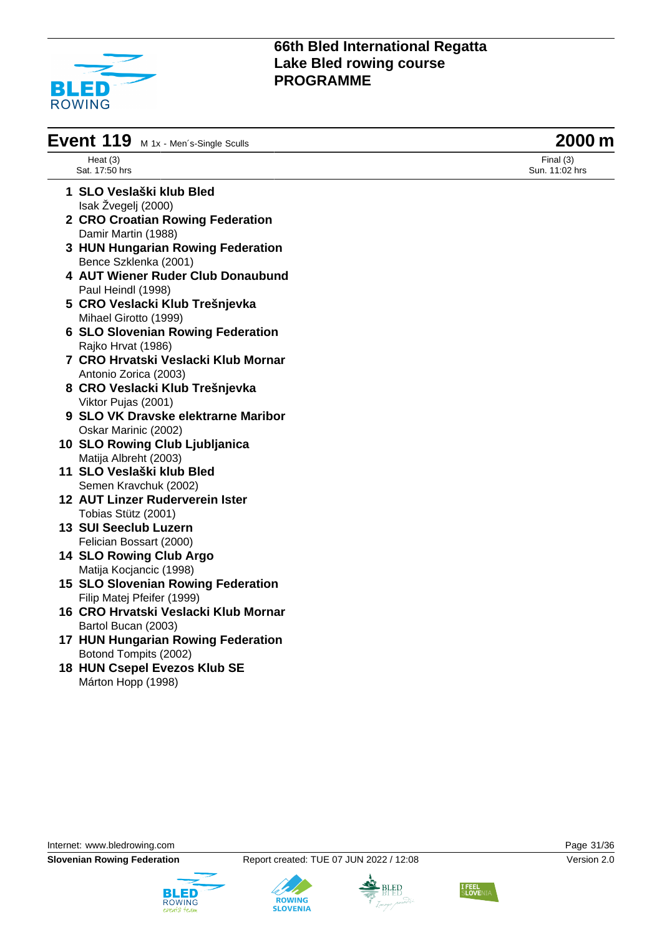

| Event $119$ M 1x - Men's-Single Sculls | 2000 m |
|----------------------------------------|--------|
|----------------------------------------|--------|

Heat (3) Sat. 17:50 hrs

- **1 SLO Veslaški klub Bled** Isak Žvegelj (2000)
- **2 CRO Croatian Rowing Federation** Damir Martin (1988)
- **3 HUN Hungarian Rowing Federation** Bence Szklenka (2001)
- **4 AUT Wiener Ruder Club Donaubund** Paul Heindl (1998)
- **5 CRO Veslacki Klub Trešnjevka** Mihael Girotto (1999)
- **6 SLO Slovenian Rowing Federation** Rajko Hrvat (1986)
- **7 CRO Hrvatski Veslacki Klub Mornar** Antonio Zorica (2003)
- **8 CRO Veslacki Klub Trešnjevka** Viktor Pujas (2001)
- **9 SLO VK Dravske elektrarne Maribor** Oskar Marinic (2002)
- **10 SLO Rowing Club Ljubljanica** Matija Albreht (2003)
- **11 SLO Veslaški klub Bled** Semen Kravchuk (2002)
- **12 AUT Linzer Ruderverein Ister** Tobias Stütz (2001)
- **13 SUI Seeclub Luzern** Felician Bossart (2000)
- **14 SLO Rowing Club Argo** Matija Kocjancic (1998)
- **15 SLO Slovenian Rowing Federation** Filip Matej Pfeifer (1999)
- **16 CRO Hrvatski Veslacki Klub Mornar** Bartol Bucan (2003)
- **17 HUN Hungarian Rowing Federation** Botond Tompits (2002)
- **18 HUN Csepel Evezos Klub SE** Márton Hopp (1998)

Internet: [www.bledrowing.com](http://www.bledrowing.com) Page 31/36

**Slovenian Rowing Federation** Report created: TUE 07 JUN 2022 / 12:08 Version 2.0









Final (3) Sun. 11:02 hrs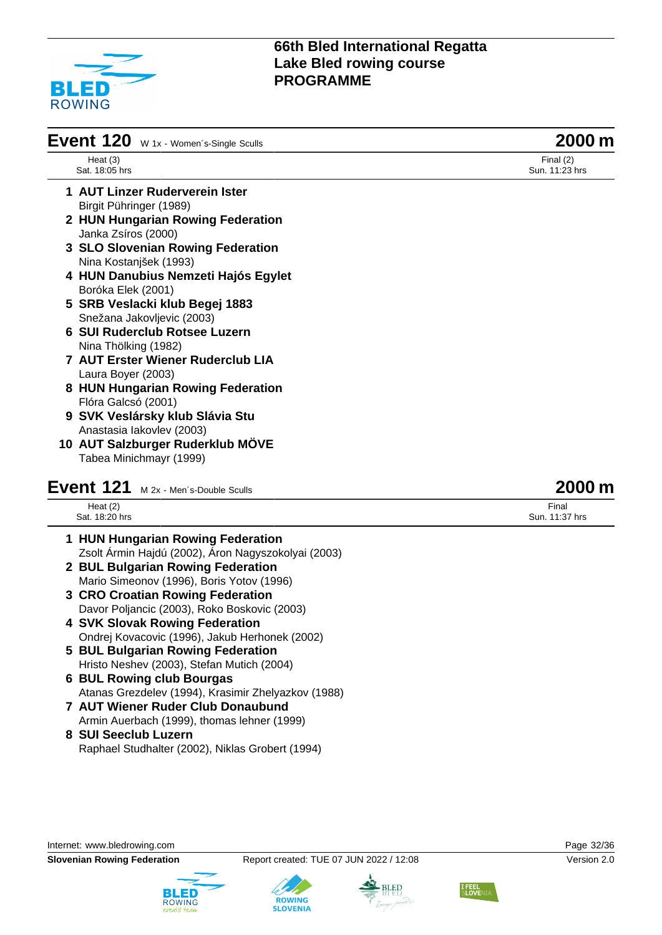

| Heat $(3)$<br>Sat. 18:05 hrs<br>1 AUT Linzer Ruderverein Ister<br>Birgit Pühringer (1989)<br>2 HUN Hungarian Rowing Federation<br>Janka Zsíros (2000)<br>3 SLO Slovenian Rowing Federation | Final $(2)$<br>Sun. 11:23 hrs |
|--------------------------------------------------------------------------------------------------------------------------------------------------------------------------------------------|-------------------------------|
|                                                                                                                                                                                            |                               |
|                                                                                                                                                                                            |                               |
|                                                                                                                                                                                            |                               |
|                                                                                                                                                                                            |                               |
|                                                                                                                                                                                            |                               |
| Nina Kostanjšek (1993)                                                                                                                                                                     |                               |
| 4 HUN Danubius Nemzeti Hajós Egylet                                                                                                                                                        |                               |
| Boróka Elek (2001)                                                                                                                                                                         |                               |
| 5 SRB Veslacki klub Begej 1883                                                                                                                                                             |                               |
| Snežana Jakovljevic (2003)                                                                                                                                                                 |                               |
| <b>6 SUI Ruderclub Rotsee Luzern</b>                                                                                                                                                       |                               |
| Nina Thölking (1982)                                                                                                                                                                       |                               |
| <b>7 AUT Erster Wiener Ruderclub LIA</b>                                                                                                                                                   |                               |
| Laura Boyer (2003)                                                                                                                                                                         |                               |
| 8 HUN Hungarian Rowing Federation                                                                                                                                                          |                               |
| Flóra Galcsó (2001)                                                                                                                                                                        |                               |
| 9 SVK Veslársky klub Slávia Stu                                                                                                                                                            |                               |
| Anastasia lakovlev (2003)                                                                                                                                                                  |                               |
| 10 AUT Salzburger Ruderklub MÖVE                                                                                                                                                           |                               |
| Tabea Minichmayr (1999)                                                                                                                                                                    |                               |

## **Event 121** M 2x - Men's-Double Sculls **2000 m**

| Heat $(2)$     |  |
|----------------|--|
| Sat. 18:20 hrs |  |

- **1 HUN Hungarian Rowing Federation** Zsolt Ármin Hajdú (2002), Áron Nagyszokolyai (2003)
- **2 BUL Bulgarian Rowing Federation** Mario Simeonov (1996), Boris Yotov (1996)
- **3 CRO Croatian Rowing Federation** Davor Poljancic (2003), Roko Boskovic (2003)
- **4 SVK Slovak Rowing Federation** Ondrej Kovacovic (1996), Jakub Herhonek (2002)
- **5 BUL Bulgarian Rowing Federation** Hristo Neshev (2003), Stefan Mutich (2004)
- **6 BUL Rowing club Bourgas** Atanas Grezdelev (1994), Krasimir Zhelyazkov (1988)
- **7 AUT Wiener Ruder Club Donaubund** Armin Auerbach (1999), thomas lehner (1999)
- **8 SUI Seeclub Luzern** Raphael Studhalter (2002), Niklas Grobert (1994)

Internet: [www.bledrowing.com](http://www.bledrowing.com) Page 32/36

**Slovenian Rowing Federation** Report created: TUE 07 JUN 2022 / 12:08 Version 2.0









Final Sun. 11:37 hrs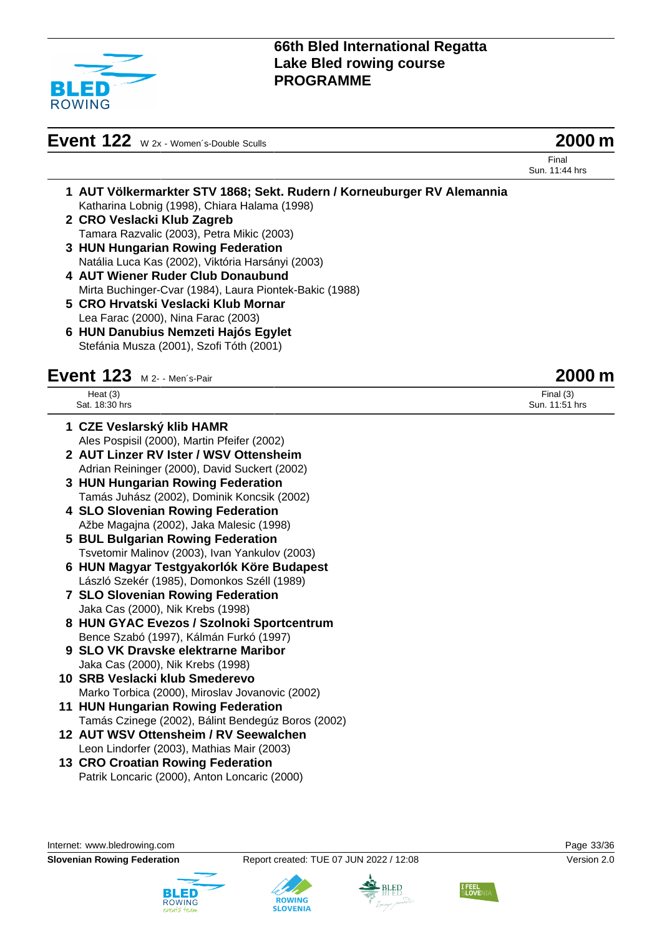

# **Event 122** W 2x - Women's-Double Sculls **2000 m**

Final Sun. 11:44 hrs

- **1 AUT Völkermarkter STV 1868; Sekt. Rudern / Korneuburger RV Alemannia** Katharina Lobnig (1998), Chiara Halama (1998)
- **2 CRO Veslacki Klub Zagreb** Tamara Razvalic (2003), Petra Mikic (2003)
- **3 HUN Hungarian Rowing Federation** Natália Luca Kas (2002), Viktória Harsányi (2003)
- **4 AUT Wiener Ruder Club Donaubund** Mirta Buchinger-Cvar (1984), Laura Piontek-Bakic (1988)
- **5 CRO Hrvatski Veslacki Klub Mornar** Lea Farac (2000), Nina Farac (2003)
- **6 HUN Danubius Nemzeti Hajós Egylet** Stefánia Musza (2001), Szofi Tóth (2001)

## **Event 123** M 2- - Men´s-Pair **2000 m**

| Heat $(3)$                   | Final $(3)$            |
|------------------------------|------------------------|
| Sat.<br>18.31<br>hrs<br>____ | hrs<br>Sun.<br>_______ |
|                              |                        |

- **1 CZE Veslarský klib HAMR** Ales Pospisil (2000), Martin Pfeifer (2002)
- **2 AUT Linzer RV Ister / WSV Ottensheim** Adrian Reininger (2000), David Suckert (2002)
- **3 HUN Hungarian Rowing Federation** Tamás Juhász (2002), Dominik Koncsik (2002)
- **4 SLO Slovenian Rowing Federation** Ažbe Magajna (2002), Jaka Malesic (1998)
- **5 BUL Bulgarian Rowing Federation** Tsvetomir Malinov (2003), Ivan Yankulov (2003)
- **6 HUN Magyar Testgyakorlók Köre Budapest** László Szekér (1985), Domonkos Széll (1989)
- **7 SLO Slovenian Rowing Federation** Jaka Cas (2000), Nik Krebs (1998)
- **8 HUN GYAC Evezos / Szolnoki Sportcentrum** Bence Szabó (1997), Kálmán Furkó (1997)
- **9 SLO VK Dravske elektrarne Maribor** Jaka Cas (2000), Nik Krebs (1998)
- **10 SRB Veslacki klub Smederevo** Marko Torbica (2000), Miroslav Jovanovic (2002)
- **11 HUN Hungarian Rowing Federation** Tamás Czinege (2002), Bálint Bendegúz Boros (2002)
- **12 AUT WSV Ottensheim / RV Seewalchen** Leon Lindorfer (2003), Mathias Mair (2003)
- **13 CRO Croatian Rowing Federation** Patrik Loncaric (2000), Anton Loncaric (2000)

Internet: [www.bledrowing.com](http://www.bledrowing.com) Page 33/36





**ROWING** 



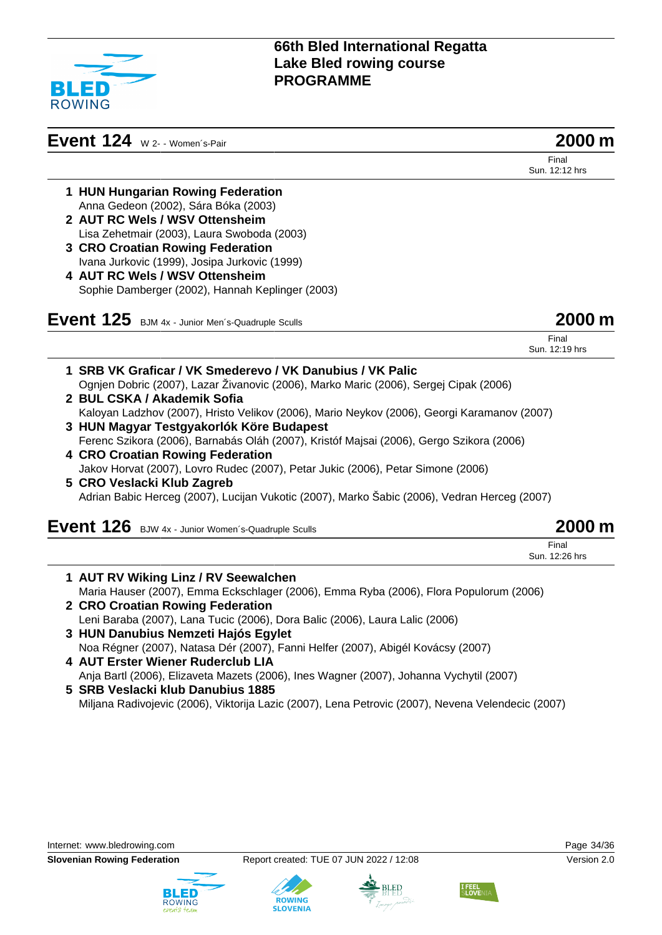

# **Event 124** W 2- - Women´s-Pair **2000 m**

Final Sun. 12:12 hrs

- **1 HUN Hungarian Rowing Federation** Anna Gedeon (2002), Sára Bóka (2003)
- **2 AUT RC Wels / WSV Ottensheim** Lisa Zehetmair (2003), Laura Swoboda (2003)
- **3 CRO Croatian Rowing Federation** Ivana Jurkovic (1999), Josipa Jurkovic (1999)
- **4 AUT RC Wels / WSV Ottensheim** Sophie Damberger (2002), Hannah Keplinger (2003)

| Event 125 BJM 4x - Junior Men's-Quadruple Sculls | 2000 m |
|--------------------------------------------------|--------|
|--------------------------------------------------|--------|

| Final          |  |  |
|----------------|--|--|
| Sun. 12:19 hrs |  |  |

**1 SRB VK Graficar / VK Smederevo / VK Danubius / VK Palic** Ognjen Dobric (2007), Lazar Živanovic (2006), Marko Maric (2006), Sergej Cipak (2006) **2 BUL CSKA / Akademik Sofia** Kaloyan Ladzhov (2007), Hristo Velikov (2006), Mario Neykov (2006), Georgi Karamanov (2007) **3 HUN Magyar Testgyakorlók Köre Budapest** Ferenc Szikora (2006), Barnabás Oláh (2007), Kristóf Majsai (2006), Gergo Szikora (2006) **4 CRO Croatian Rowing Federation** Jakov Horvat (2007), Lovro Rudec (2007), Petar Jukic (2006), Petar Simone (2006) **5 CRO Veslacki Klub Zagreb** Adrian Babic Herceg (2007), Lucijan Vukotic (2007), Marko Šabic (2006), Vedran Herceg (2007) **Event 126** BJW 4x - Junior Women´s-Quadruple Sculls **2000 m**

| <b>LVENt 126</b> BJW 4x - Junior Women's-Quadruple Sculls |
|-----------------------------------------------------------|
|                                                           |

Final Sun. 12:26 hrs

- **1 AUT RV Wiking Linz / RV Seewalchen** Maria Hauser (2007), Emma Eckschlager (2006), Emma Ryba (2006), Flora Populorum (2006) **2 CRO Croatian Rowing Federation** Leni Baraba (2007), Lana Tucic (2006), Dora Balic (2006), Laura Lalic (2006) **3 HUN Danubius Nemzeti Hajós Egylet** Noa Régner (2007), Natasa Dér (2007), Fanni Helfer (2007), Abigél Kovácsy (2007)
- **4 AUT Erster Wiener Ruderclub LIA** Anja Bartl (2006), Elizaveta Mazets (2006), Ines Wagner (2007), Johanna Vychytil (2007)

**ROWING** 

**SLOVENIA** 

**5 SRB Veslacki klub Danubius 1885** Miljana Radivojevic (2006), Viktorija Lazic (2007), Lena Petrovic (2007), Nevena Velendecic (2007)







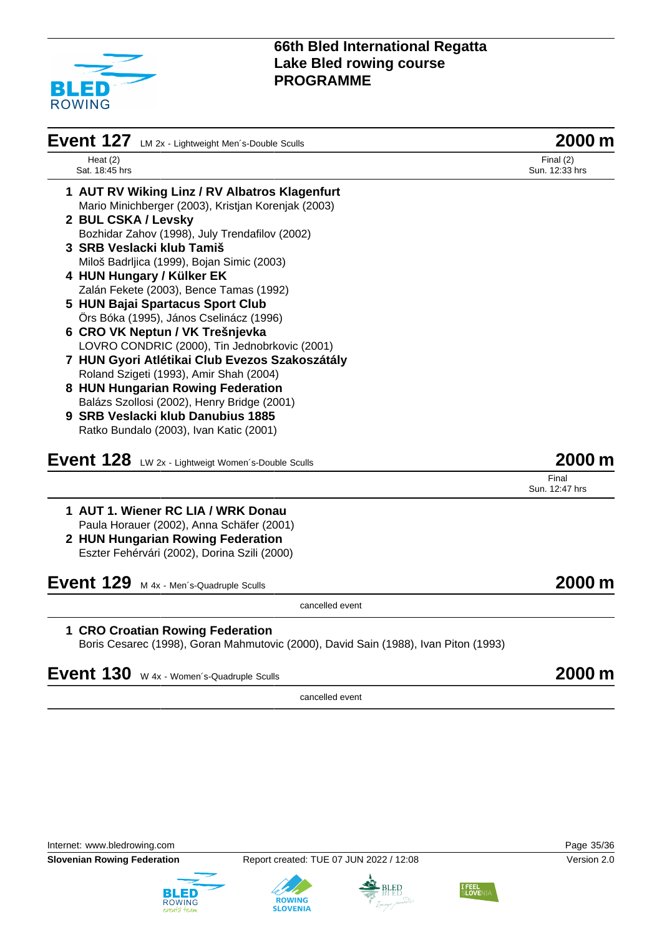

| Event 127 LM 2x - Lightweight Men's-Double Sculls                                   | 2000 m                        |
|-------------------------------------------------------------------------------------|-------------------------------|
| Heat $(2)$<br>Sat. 18:45 hrs                                                        | Final $(2)$<br>Sun. 12:33 hrs |
| 1 AUT RV Wiking Linz / RV Albatros Klagenfurt                                       |                               |
| Mario Minichberger (2003), Kristjan Korenjak (2003)                                 |                               |
| 2 BUL CSKA / Levsky                                                                 |                               |
| Bozhidar Zahov (1998), July Trendafilov (2002)                                      |                               |
| 3 SRB Veslacki klub Tamiš                                                           |                               |
| Miloš Badrljica (1999), Bojan Simic (2003)                                          |                               |
| 4 HUN Hungary / Külker EK                                                           |                               |
| Zalán Fekete (2003), Bence Tamas (1992)                                             |                               |
| 5 HUN Bajai Spartacus Sport Club                                                    |                               |
| Örs Bóka (1995), János Cselinácz (1996)                                             |                               |
| 6 CRO VK Neptun / VK Trešnjevka                                                     |                               |
| LOVRO CONDRIC (2000), Tin Jednobrkovic (2001)                                       |                               |
| 7 HUN Gyori Atlétikai Club Evezos Szakoszátály                                      |                               |
| Roland Szigeti (1993), Amir Shah (2004)                                             |                               |
| 8 HUN Hungarian Rowing Federation                                                   |                               |
| Balázs Szollosi (2002), Henry Bridge (2001)<br>9 SRB Veslacki klub Danubius 1885    |                               |
| Ratko Bundalo (2003), Ivan Katic (2001)                                             |                               |
|                                                                                     |                               |
| Event 128<br>LW 2x - Lightweigt Women's-Double Sculls                               | 2000 m                        |
|                                                                                     | Final<br>Sun. 12:47 hrs       |
| 1 AUT 1. Wiener RC LIA / WRK Donau                                                  |                               |
| Paula Horauer (2002), Anna Schäfer (2001)                                           |                               |
| 2 HUN Hungarian Rowing Federation                                                   |                               |
| Eszter Fehérvári (2002), Dorina Szili (2000)                                        |                               |
| Event 129<br>M 4x - Men's-Quadruple Sculls                                          | 2000 m                        |
| cancelled event                                                                     |                               |
| 1 CRO Croatian Rowing Federation                                                    |                               |
| Boris Cesarec (1998), Goran Mahmutovic (2000), David Sain (1988), Ivan Piton (1993) |                               |
| Event 130<br>W 4x - Women's-Quadruple Sculls                                        | 2000 m                        |
|                                                                                     |                               |
| topical bellennen                                                                   |                               |

cancelled event